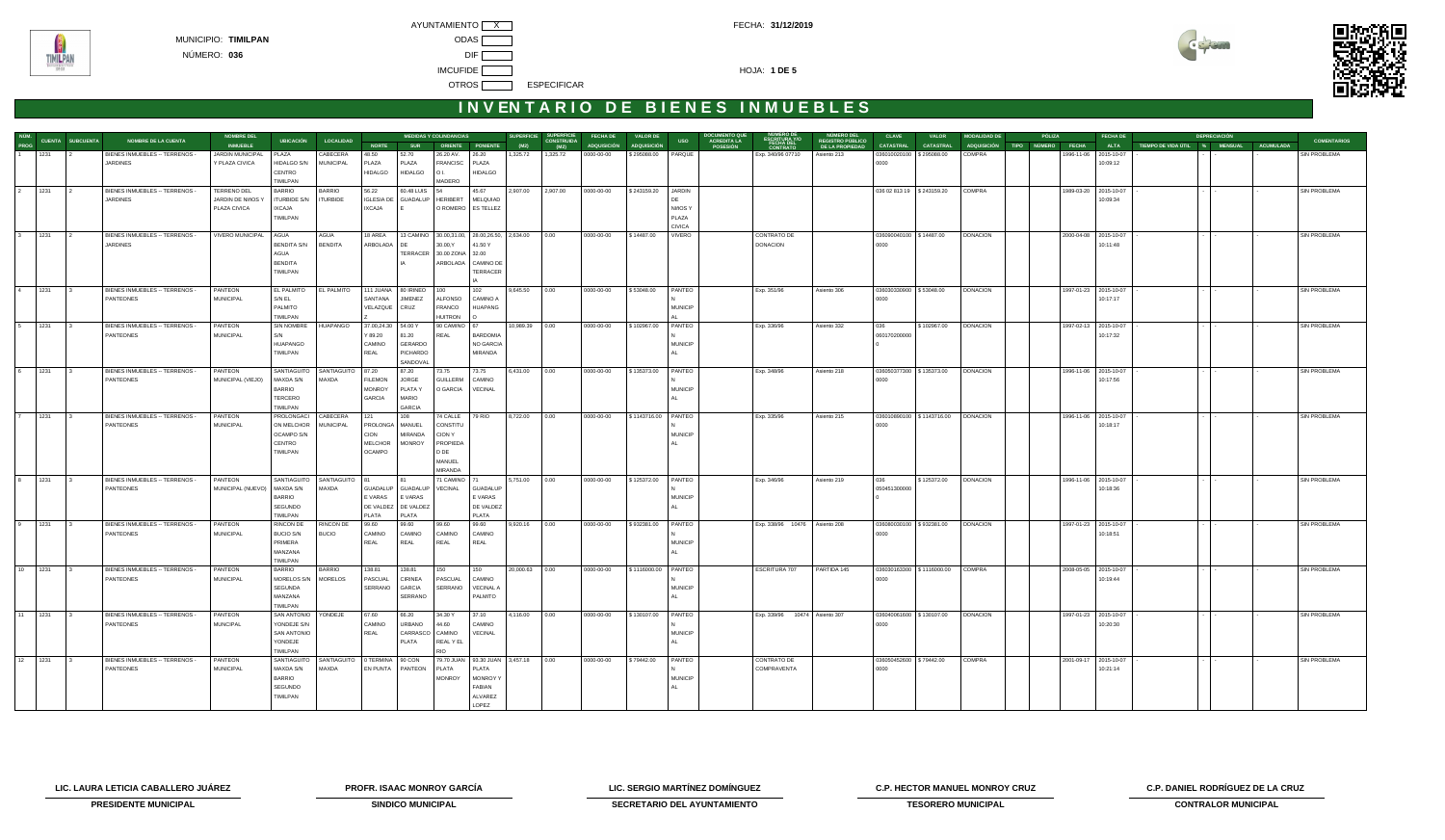

# **INVENTARIO DE BIENES INMUEBLES**

|                |                                                          |                  | <b>MEDIDAS Y COLINDANCIAS</b><br><b>NOMBRE DEL</b> |                               |                                   |                  |                   | <b>SUPERFICIE</b><br><b>SUPERFICIE</b><br><b>FECHA DE</b><br><b>VALOR DE</b> |                              |                                     |           |                           |                    | <b>DOCUMENTO QUE</b><br><b>NÚMERO DEL</b><br>NUMERO DE<br>ESCRITURA Y/O<br><b>CLAVE</b> |                |                                       | <b>MODALIDAD DE</b><br><b>PÓLIZA</b><br><b>VALOR</b> |                                            |                             |                  | <b>FECHA DE</b><br><b>DEPRECIACIÓN</b> |  |               |              |                       |                               |  |                  |                     |
|----------------|----------------------------------------------------------|------------------|----------------------------------------------------|-------------------------------|-----------------------------------|------------------|-------------------|------------------------------------------------------------------------------|------------------------------|-------------------------------------|-----------|---------------------------|--------------------|-----------------------------------------------------------------------------------------|----------------|---------------------------------------|------------------------------------------------------|--------------------------------------------|-----------------------------|------------------|----------------------------------------|--|---------------|--------------|-----------------------|-------------------------------|--|------------------|---------------------|
| NÚM.<br>PROG   |                                                          | CUENTA SUBCUENTA | NOMBRE DE LA CUENTA                                | <b>INMUEBLE</b>               | <b>UBICACIÓN</b>                  | <b>LOCALIDAD</b> | <b>NORTE</b>      | <b>SUR</b>                                                                   |                              | ORIENTE PONIENTE                    | (M2)      | <b>CONSTRUIDA</b><br>(M2) | <b>ADQUISICIÓN</b> | <b>ADQUISICIÓN</b>                                                                      | <b>USO</b>     | <b>ACREDITA LA</b><br><b>POSESIÓN</b> | <b>FECHA DEL</b><br>CONTRATO                         | <b>REGISTRO PÚBLICO</b><br>DE LA PROPIEDAD | <b>CATASTRAL</b>            | <b>CATASTRAL</b> | ADQUISICIÓN TIPO                       |  | <b>NÚMERO</b> | <b>FECHA</b> | <b>ALTA</b>           | TIEMPO DE VIDA ÚTIL % MENSUAL |  | <b>ACUMULADA</b> | <b>COMENTARIOS</b>  |
|                | 1231                                                     |                  | BIENES INMUEBLES -- TERRENOS -                     | JARDIN MUNICIPAL              | PLAZA                             | CABECERA         | 48.50             | 52.70                                                                        | 26.20 AV.                    | 26.20                               | 1,325.72  | 1,325.72                  | 0000-00-00         | \$295088.00                                                                             | PARQUE         |                                       | Exp. 340/96 07710                                    | Asiento 213                                | 036010020100                | \$295088.00      | COMPRA                                 |  |               | 1996-11-06   | 2015-10-07            |                               |  |                  | SIN PROBLEMA        |
|                |                                                          |                  | <b>JARDINES</b>                                    | Y PLAZA CIVICA                | HIDALGO S/N                       | <b>MUNICIPAL</b> | PLAZA             | PLAZA                                                                        | FRANCISC                     | PLAZA                               |           |                           |                    |                                                                                         |                |                                       |                                                      |                                            | 0000                        |                  |                                        |  |               |              | 10:09:12              |                               |  |                  |                     |
|                |                                                          |                  |                                                    |                               | CENTRO                            |                  | <b>HIDALGO</b>    | <b>HIDALGO</b>                                                               | O L                          | <b>HIDALGO</b>                      |           |                           |                    |                                                                                         |                |                                       |                                                      |                                            |                             |                  |                                        |  |               |              |                       |                               |  |                  |                     |
|                |                                                          |                  |                                                    |                               | TIMILPAN                          |                  |                   |                                                                              | MADERO                       |                                     |           |                           |                    |                                                                                         |                |                                       |                                                      |                                            |                             |                  |                                        |  |               |              |                       |                               |  |                  |                     |
| $\overline{2}$ | 1231                                                     |                  | BIENES INMUEBLES -- TERRENOS -                     | <b>TERRENO DEL</b>            | <b>BARRIO</b>                     | <b>BARRIO</b>    | 56.22             | 60.48 LUIS                                                                   | 54                           | 45.67                               | 2,907.00  | 2,907.00                  | 0000-00-00         | \$243159.20                                                                             | JARDIN         |                                       |                                                      |                                            | 036 02 813 19   \$243159.20 |                  | COMPRA                                 |  |               |              | 1989-03-20 2015-10-07 |                               |  |                  | SIN PROBLEMA        |
|                |                                                          |                  | JARDINES                                           | JARDIN DE NIñOS Y             | <b>TURBIDE S/N</b>                | <b>TURBIDE</b>   | <b>IGLESIA DE</b> | GUADALUP                                                                     | HERIBERT                     | MELQUIAD                            |           |                           |                    |                                                                                         |                |                                       |                                                      |                                            |                             |                  |                                        |  |               |              | 10:09:34              |                               |  |                  |                     |
|                |                                                          |                  |                                                    | PLAZA CIVICA                  | <b>IXCAJA</b>                     |                  | <b>IXCAJA</b>     |                                                                              |                              | O ROMERO   ES TELLEZ                |           |                           |                    |                                                                                         | NIñOS Y        |                                       |                                                      |                                            |                             |                  |                                        |  |               |              |                       |                               |  |                  |                     |
|                |                                                          |                  |                                                    |                               | TIMILPAN                          |                  |                   |                                                                              |                              |                                     |           |                           |                    |                                                                                         | PLAZA          |                                       |                                                      |                                            |                             |                  |                                        |  |               |              |                       |                               |  |                  |                     |
|                |                                                          |                  |                                                    |                               |                                   |                  |                   |                                                                              |                              |                                     |           |                           |                    |                                                                                         | <b>CIVICA</b>  |                                       |                                                      |                                            |                             |                  |                                        |  |               |              |                       |                               |  |                  |                     |
| $3^{\circ}$    | 1231                                                     |                  | BIENES INMUEBLES -- TERRENOS -                     | VIVERO MUNICIPAL              | AGUA                              | AGUA             | 18 AREA           | 13 CAMINO                                                                    |                              | 30.00,31.00, 28.00,26.50, 2,634.00  |           | 0.00                      | 0000-00-00         | \$14487.00                                                                              | VIVERO         |                                       | CONTRATO DE                                          |                                            | 036090040100 \$14487.00     |                  | <b>DONACION</b>                        |  |               |              | 2000-04-08 2015-10-07 |                               |  |                  | SIN PROBLEMA        |
|                |                                                          |                  | <b>JARDINES</b>                                    |                               | <b>BENDITA S/N</b>                | <b>BENDITA</b>   | ARBOLADA          | DE                                                                           | 30.00, Y                     | 41.50 Y                             |           |                           |                    |                                                                                         |                |                                       | <b>DONACION</b>                                      |                                            | 0000                        |                  |                                        |  |               |              | 10:11:48              |                               |  |                  |                     |
|                |                                                          |                  |                                                    |                               | AGUA<br><b>BENDITA</b>            |                  |                   | TERRACER                                                                     | 30.00 ZONA 32.00<br>ARBOLADA | <b>CAMINO DE</b>                    |           |                           |                    |                                                                                         |                |                                       |                                                      |                                            |                             |                  |                                        |  |               |              |                       |                               |  |                  |                     |
|                |                                                          |                  |                                                    |                               | TIMILPAN                          |                  |                   |                                                                              |                              | <b>TERRACER</b>                     |           |                           |                    |                                                                                         |                |                                       |                                                      |                                            |                             |                  |                                        |  |               |              |                       |                               |  |                  |                     |
|                |                                                          |                  |                                                    |                               |                                   |                  |                   |                                                                              |                              |                                     |           |                           |                    |                                                                                         |                |                                       |                                                      |                                            |                             |                  |                                        |  |               |              |                       |                               |  |                  |                     |
| $\overline{4}$ | 1231                                                     |                  | BIENES INMUEBLES -- TERRENOS -                     | PANTEON                       | EL PALMITO                        | EL PALMITO       |                   | 111 JUANA 80 IRINEO                                                          | 100                          | 102                                 | 9,645.50  | 0.00                      | 0000-00-00         | \$53048.00                                                                              | PANTEO         |                                       | Exp. 351/96                                          | Asiento 306                                | 036030330900                | \$53048.00       | <b>DONACION</b>                        |  |               |              | 1997-01-23 2015-10-07 |                               |  |                  | <b>SIN PROBLEMA</b> |
|                |                                                          |                  | <b>PANTEONES</b>                                   | <b>MUNICIPAL</b>              | S/N EL                            |                  | SANTANA           | <b>JIMENEZ</b>                                                               | <b>ALFONSO</b>               | CAMINO A                            |           |                           |                    |                                                                                         |                |                                       |                                                      |                                            | 0000                        |                  |                                        |  |               |              | 10:17:17              |                               |  |                  |                     |
|                |                                                          |                  |                                                    |                               | PALMITO                           |                  | VELAZQUE          | CRUZ                                                                         | FRANCO                       | <b>HUAPANG</b>                      |           |                           |                    |                                                                                         | <b>MUNICIP</b> |                                       |                                                      |                                            |                             |                  |                                        |  |               |              |                       |                               |  |                  |                     |
|                |                                                          |                  |                                                    |                               | TIMILPAN                          |                  |                   |                                                                              | <b>HUITRON</b>               |                                     |           |                           |                    |                                                                                         |                |                                       |                                                      |                                            |                             |                  |                                        |  |               |              |                       |                               |  |                  |                     |
| 5              | 1231                                                     |                  | BIENES INMUEBLES -- TERRENOS -                     | PANTEON                       | <b>SIN NOMBRE</b>                 | HUAPANGO         | 37.00,24.30       | 54.00 Y                                                                      | 90 CAMINO                    | 67                                  | 10,989.39 | 0.00                      | 0000-00-00         | \$102967.00                                                                             | PANTEO         |                                       | Exp. 336/96                                          | Asiento 332                                | 036                         | \$102967.00      | <b>DONACION</b>                        |  |               |              | 1997-02-13 2015-10-07 |                               |  |                  | <b>SIN PROBLEMA</b> |
|                |                                                          |                  | PANTEONES                                          | <b>MUNICIPAL</b>              | S/N                               |                  | Y 89.20           | 81.20                                                                        | REAL                         | <b>BARDOMIA</b>                     |           |                           |                    |                                                                                         |                |                                       |                                                      |                                            | 060170200000                |                  |                                        |  |               |              | 10:17:32              |                               |  |                  |                     |
|                |                                                          |                  |                                                    |                               | HUAPANGO                          |                  | CAMINO            | GERARDO                                                                      |                              | NO GARCIA                           |           |                           |                    |                                                                                         | <b>MUNICIP</b> |                                       |                                                      |                                            |                             |                  |                                        |  |               |              |                       |                               |  |                  |                     |
|                |                                                          |                  |                                                    |                               | TIMILPAN                          |                  | REAL              | PICHARDO                                                                     |                              | <b>MIRANDA</b>                      |           |                           |                    |                                                                                         |                |                                       |                                                      |                                            |                             |                  |                                        |  |               |              |                       |                               |  |                  |                     |
|                |                                                          |                  |                                                    |                               |                                   |                  |                   | SANDOVAL                                                                     |                              |                                     |           |                           |                    |                                                                                         |                |                                       |                                                      |                                            |                             |                  |                                        |  |               |              |                       |                               |  |                  |                     |
|                | $\begin{array}{ c c c c c } \hline 6 & 1231 \end{array}$ |                  | BIENES INMUEBLES -- TERRENOS -                     | PANTEON                       | SANTIAGUITO                       | SANTIAGUITO      | 87.20             | 87.20                                                                        | 73.75                        | 73.75                               | 6,431.00  | 0.00                      | 0000-00-00         | \$135373.00                                                                             | PANTEO         |                                       | Exp. 348/96                                          | Asiento 218                                | 036050377300 \$135373.00    |                  | <b>DONACION</b>                        |  |               |              | 1996-11-06 2015-10-07 |                               |  |                  | <b>SIN PROBLEMA</b> |
|                |                                                          |                  | PANTEONES                                          | MUNICIPAL (VIEJO)             | MAXDA S/N                         | MAXDA            | <b>FILEMON</b>    | JORGE                                                                        | <b>GUILLERM</b>              | CAMINO                              |           |                           |                    |                                                                                         |                |                                       |                                                      |                                            | 0000                        |                  |                                        |  |               |              | 10:17:56              |                               |  |                  |                     |
|                |                                                          |                  |                                                    |                               | <b>BARRIO</b>                     |                  | <b>MONROY</b>     | PLATA Y                                                                      | O GARCIA                     | VECINAL                             |           |                           |                    |                                                                                         | <b>MUNICIP</b> |                                       |                                                      |                                            |                             |                  |                                        |  |               |              |                       |                               |  |                  |                     |
|                |                                                          |                  |                                                    |                               | TERCERO                           |                  | <b>GARCIA</b>     | MARIO                                                                        |                              |                                     |           |                           |                    |                                                                                         |                |                                       |                                                      |                                            |                             |                  |                                        |  |               |              |                       |                               |  |                  |                     |
|                |                                                          |                  |                                                    |                               | TIMILPAN                          |                  |                   | <b>GARCIA</b>                                                                |                              |                                     |           |                           |                    |                                                                                         |                |                                       |                                                      |                                            |                             |                  |                                        |  |               |              |                       |                               |  |                  |                     |
|                | $\overline{7}$ 1231                                      | lз               | BIENES INMUEBLES -- TERRENOS -                     | PANTEON                       | PROLONGACI                        | CABECERA         | 121               | 108                                                                          | 74 CALLE                     | 79 RIO                              | 8,722.00  | 0.00                      | 0000-00-00         | \$1143716.00 PANTEO                                                                     |                |                                       | Exp. 335/96                                          | Asiento 215                                |                             |                  |                                        |  |               |              | 1996-11-06 2015-10-07 |                               |  |                  | <b>SIN PROBLEMA</b> |
|                |                                                          |                  | PANTEONES                                          | <b>MUNICIPAL</b>              | ON MELCHOR                        | <b>MUNICIPAL</b> | PROLONGA          | MANUEL                                                                       | CONSTITU                     |                                     |           |                           |                    |                                                                                         |                |                                       |                                                      |                                            | 0000                        |                  |                                        |  |               |              | 10:18:17              |                               |  |                  |                     |
|                |                                                          |                  |                                                    |                               | OCAMPO S/N                        |                  | <b>CION</b>       | MIRANDA                                                                      | CION Y                       |                                     |           |                           |                    |                                                                                         | <b>MUNICIP</b> |                                       |                                                      |                                            |                             |                  |                                        |  |               |              |                       |                               |  |                  |                     |
|                |                                                          |                  |                                                    |                               | CENTRO                            |                  | <b>MELCHOR</b>    | <b>MONROY</b>                                                                | PROPIEDA                     |                                     |           |                           |                    |                                                                                         |                |                                       |                                                      |                                            |                             |                  |                                        |  |               |              |                       |                               |  |                  |                     |
|                |                                                          |                  |                                                    |                               | TIMILPAN                          |                  | <b>OCAMPO</b>     |                                                                              | D DE<br>MANUEL               |                                     |           |                           |                    |                                                                                         |                |                                       |                                                      |                                            |                             |                  |                                        |  |               |              |                       |                               |  |                  |                     |
|                |                                                          |                  |                                                    |                               |                                   |                  |                   |                                                                              | <b>MIRANDA</b>               |                                     |           |                           |                    |                                                                                         |                |                                       |                                                      |                                            |                             |                  |                                        |  |               |              |                       |                               |  |                  |                     |
|                | 8 1231                                                   |                  | BIENES INMUEBLES -- TERRENOS -                     | PANTEON                       | SANTIAGUITO                       | SANTIAGUITO      | <b>81</b>         | l 81                                                                         | 71 CAMINO   71               |                                     | 5,751.00  | 0.00                      | 0000-00-00         | \$125372.00                                                                             | PANTEO         |                                       | Exp. 346/96                                          | Asiento 219                                | 036                         | \$125372.00      | <b>DONACION</b>                        |  |               |              | 1996-11-06 2015-10-07 |                               |  |                  | <b>SIN PROBLEMA</b> |
|                |                                                          |                  | PANTEONES                                          | MUNICIPAL (NUEVO)   MAXDA S/N |                                   | MAXDA            |                   | GUADALUP GUADALUP                                                            | VECINAL                      | <b>GUADALUP</b>                     |           |                           |                    |                                                                                         |                |                                       |                                                      |                                            | 050451300000                |                  |                                        |  |               |              | 10:18:36              |                               |  |                  |                     |
|                |                                                          |                  |                                                    |                               | <b>BARRIO</b>                     |                  | E VARAS           | E VARAS                                                                      |                              | E VARAS                             |           |                           |                    |                                                                                         | <b>MUNICIP</b> |                                       |                                                      |                                            |                             |                  |                                        |  |               |              |                       |                               |  |                  |                     |
|                |                                                          |                  |                                                    |                               | SEGUNDO                           |                  | DE VALDEZ         | DE VALDEZ                                                                    |                              | DE VALDEZ                           |           |                           |                    |                                                                                         |                |                                       |                                                      |                                            |                             |                  |                                        |  |               |              |                       |                               |  |                  |                     |
|                |                                                          |                  |                                                    |                               | TIMILPAN                          |                  | PLATA             | PLATA                                                                        |                              | PLATA                               |           |                           |                    |                                                                                         |                |                                       |                                                      |                                            |                             |                  |                                        |  |               |              |                       |                               |  |                  |                     |
|                | $\boxed{9}$ $\boxed{1231}$                               | $\overline{3}$   | BIENES INMUEBLES -- TERRENOS -                     | PANTEON                       | RINCON DE                         | RINCON DE        | 99.60             | 99.60                                                                        | 99.60                        | 99.60                               | 9,920.16  | 0.00                      | 0000-00-00         | \$932381.00                                                                             | PANTEO         |                                       | Exp. 338/96 10476 Asiento 208                        |                                            | 036080030100   \$932381.00  |                  | <b>DONACION</b>                        |  |               |              | 1997-01-23 2015-10-07 |                               |  |                  | <b>SIN PROBLEMA</b> |
|                |                                                          |                  | PANTEONES                                          | <b>MUNICIPAL</b>              | <b>BUCIO S/N</b>                  | <b>BUCIO</b>     | CAMINO            | CAMINO                                                                       | CAMINO                       | CAMINO                              |           |                           |                    |                                                                                         |                |                                       |                                                      |                                            | 0000                        |                  |                                        |  |               |              | 10:18:51              |                               |  |                  |                     |
|                |                                                          |                  |                                                    |                               | PRIMERA                           |                  | REAL              | REAL                                                                         | REAL                         | REAL                                |           |                           |                    |                                                                                         | <b>MUNICIP</b> |                                       |                                                      |                                            |                             |                  |                                        |  |               |              |                       |                               |  |                  |                     |
|                |                                                          |                  |                                                    |                               | MANZANA                           |                  |                   |                                                                              |                              |                                     |           |                           |                    |                                                                                         |                |                                       |                                                      |                                            |                             |                  |                                        |  |               |              |                       |                               |  |                  |                     |
|                |                                                          |                  |                                                    |                               | TIMILPAN                          |                  |                   |                                                                              |                              |                                     |           |                           |                    |                                                                                         |                |                                       |                                                      |                                            |                             |                  |                                        |  |               |              |                       |                               |  |                  |                     |
|                | 10 1231                                                  |                  | BIENES INMUEBLES -- TERRENOS -                     | PANTEON                       | BARRIO                            | <b>BARRIO</b>    | 138.81            | 138.81                                                                       | 150                          | 150                                 | 20,000.63 | 0.00                      | 0000-00-00         | \$1116000.00 PANTEO                                                                     |                |                                       | ESCRITURA 707                                        | PARTIDA 145                                | 036030163300 \$1116000.00   |                  | <b>COMPRA</b>                          |  |               |              | 2008-05-05 2015-10-07 |                               |  |                  | <b>SIN PROBLEMA</b> |
|                |                                                          |                  | PANTEONES                                          | <b>MUNICIPAL</b>              | MORELOS S/N                       | <b>MORELOS</b>   | PASCUAL           | CIRINEA                                                                      | PASCUAL                      | CAMINO                              |           |                           |                    |                                                                                         |                |                                       |                                                      |                                            | 0000                        |                  |                                        |  |               |              | 10:19:44              |                               |  |                  |                     |
|                |                                                          |                  |                                                    |                               | <b>SEGUNDA</b>                    |                  | SERRANO           | <b>GARCIA</b>                                                                | SERRANO                      | <b>VECINAL A</b>                    |           |                           |                    |                                                                                         | <b>MUNICIP</b> |                                       |                                                      |                                            |                             |                  |                                        |  |               |              |                       |                               |  |                  |                     |
|                |                                                          |                  |                                                    |                               | MANZANA                           |                  |                   | SERRANO                                                                      |                              | PALMITO                             |           |                           |                    |                                                                                         |                |                                       |                                                      |                                            |                             |                  |                                        |  |               |              |                       |                               |  |                  |                     |
|                | $11$ 1231                                                |                  |                                                    |                               | TIMILPAN                          |                  |                   |                                                                              |                              |                                     |           |                           |                    |                                                                                         |                |                                       |                                                      |                                            |                             |                  |                                        |  |               |              |                       |                               |  |                  |                     |
|                |                                                          |                  | BIENES INMUEBLES -- TERRENOS -                     | PANTEON                       | <b>SAN ANTONIO</b>                | YONDEJE          | 67.60             | 66.20                                                                        | 34.30 Y                      | 37.10                               | 4,116.00  | 0.00                      | 0000-00-00         | \$130107.00                                                                             | PANTEO         |                                       | Exp. 339/96 10474 Asiento 307                        |                                            | 036040061600 \$130107.00    |                  | <b>DONACION</b>                        |  |               |              | 1997-01-23 2015-10-07 |                               |  |                  | SIN PROBLEMA        |
|                |                                                          |                  | <b>PANTEONES</b>                                   | <b>MUNCIPAL</b>               | YONDEJE S/N<br><b>SAN ANTONIO</b> |                  | CAMINO<br>REAL    | URBANO<br>CARRASCO   CAMINO                                                  | 44.60                        | CAMINO<br>VECINAL                   |           |                           |                    |                                                                                         |                |                                       |                                                      |                                            | 0000                        |                  |                                        |  |               |              | 10:20:30              |                               |  |                  |                     |
|                |                                                          |                  |                                                    |                               | YONDEJE                           |                  |                   | PLATA                                                                        | REAL Y EL                    |                                     |           |                           |                    |                                                                                         | <b>MUNICIP</b> |                                       |                                                      |                                            |                             |                  |                                        |  |               |              |                       |                               |  |                  |                     |
|                |                                                          |                  |                                                    |                               | TIMILPAN                          |                  |                   |                                                                              | <b>RIO</b>                   |                                     |           |                           |                    |                                                                                         |                |                                       |                                                      |                                            |                             |                  |                                        |  |               |              |                       |                               |  |                  |                     |
|                | 12 1231                                                  |                  | BIENES INMUEBLES -- TERRENOS -                     | PANTEON                       | SANTIAGUITO                       | SANTIAGUITO      | 0 TERMINA 90 CON  |                                                                              |                              | 79.70 JUAN 93.30 JUAN 3,457.18 0.00 |           |                           | 0000-00-00         | \$79442.00                                                                              | PANTEO         |                                       | CONTRATO DE                                          |                                            | 036050452600 \$79442.00     |                  | <b>COMPRA</b>                          |  |               |              | 2001-09-17 2015-10-07 |                               |  |                  | SIN PROBLEMA        |
|                |                                                          |                  | PANTEONES                                          | <b>MUNICIPAL</b>              | MAXDA S/N                         | MAXDA            | EN PUNTA          | <b>PANTEON</b>                                                               | <b>PLATA</b>                 | PLATA                               |           |                           |                    |                                                                                         |                |                                       | COMPRAVENTA                                          |                                            | 0000                        |                  |                                        |  |               |              | 10:21:14              |                               |  |                  |                     |
|                |                                                          |                  |                                                    |                               | <b>BARRIO</b>                     |                  |                   |                                                                              | <b>MONROY</b>                | <b>MONROY Y</b>                     |           |                           |                    |                                                                                         | <b>MUNICIP</b> |                                       |                                                      |                                            |                             |                  |                                        |  |               |              |                       |                               |  |                  |                     |
|                |                                                          |                  |                                                    |                               | SEGUNDO                           |                  |                   |                                                                              |                              | FABIAN                              |           |                           |                    |                                                                                         |                |                                       |                                                      |                                            |                             |                  |                                        |  |               |              |                       |                               |  |                  |                     |
|                |                                                          |                  |                                                    |                               | TIMILPAN                          |                  |                   |                                                                              |                              | ALVAREZ                             |           |                           |                    |                                                                                         |                |                                       |                                                      |                                            |                             |                  |                                        |  |               |              |                       |                               |  |                  |                     |
|                |                                                          |                  |                                                    |                               |                                   |                  |                   |                                                                              |                              | LOPEZ                               |           |                           |                    |                                                                                         |                |                                       |                                                      |                                            |                             |                  |                                        |  |               |              |                       |                               |  |                  |                     |

**LIC. LAURA LETICIA CABALLERO JUÁREZ PROFR. ISAAC MONROY GARCÍA LIC. SERGIO MARTÍNEZ DOMÍNGUEZ C.P. HECTOR MANUEL MONROY CRUZ C.P. DANIEL RODRÍGUEZ DE LA CRUZ** 



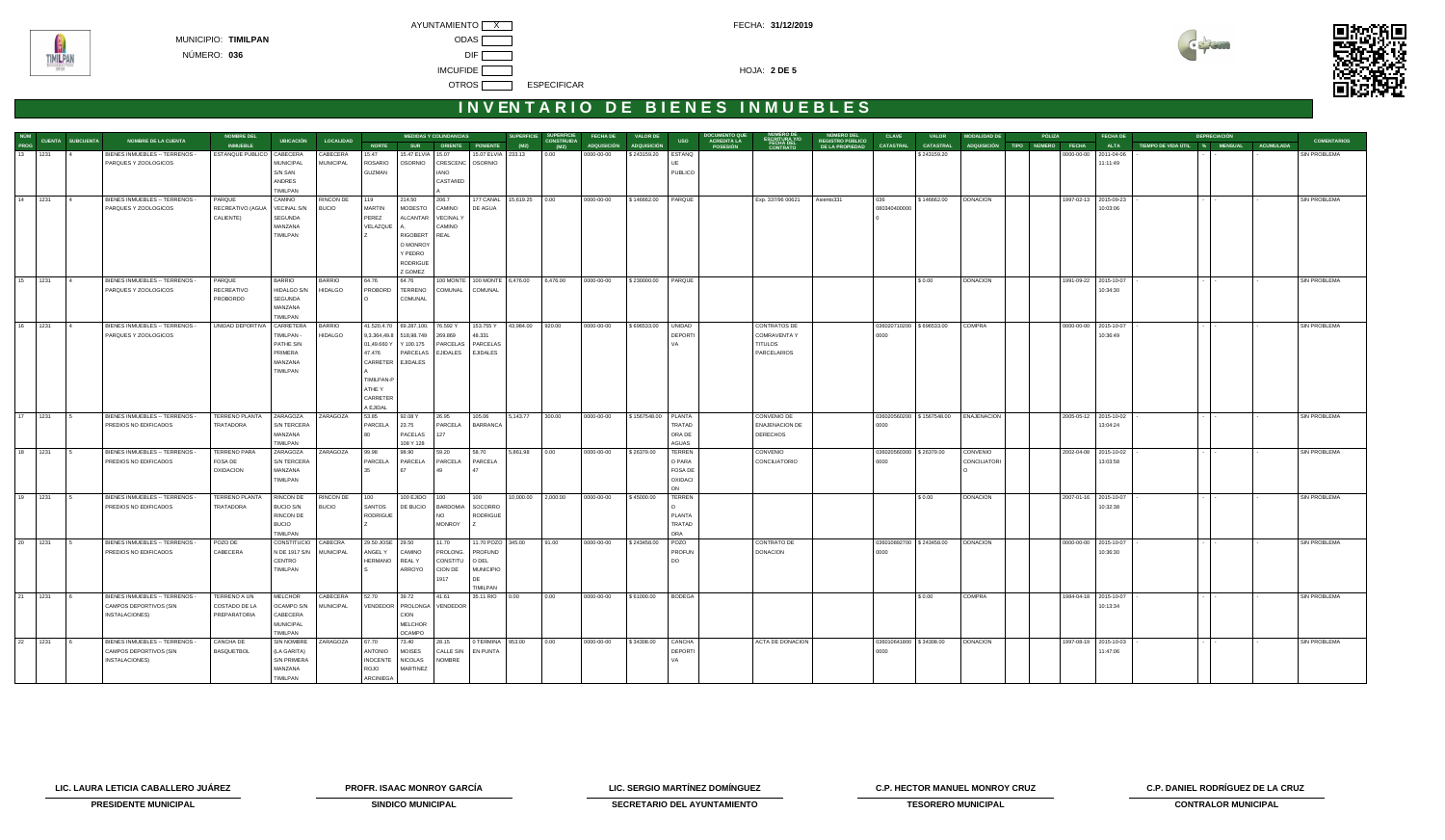

# **INVENTARIO DE BIENES INMUEBLES**

|                        | NÚM<br>PROG CUENTA SUBCUENTA<br>NOMBRE DE LA CUENTA    | <b>NOMBRE DEL</b>              | <b>UBICACIÓN</b>          | <b>MEDIDAS Y COLINDANCIAS</b><br><b>LOCALIDAD</b><br><b>NORTE</b><br>SUR ORIENTE PONIENTE (M2) |                           |                                                                     |                                               |                   |                            | SUPERFICIE SUPERFICIE<br>(M2) CONSTRUIDA<br>(M2) (M2)<br><b>FECHA DE</b><br><b>VALOR DE</b><br><b>USO</b> |                    |                      |                        | <b>DOCUMENTO QUE<br/>ACREDITA LA<br/>POSESIÓN</b><br>NUMERO DE<br>ESCRITURA Y/O<br>FECHA DEL<br>CONTRATO | <b>CLAVE</b>                                      | <b>VALOR</b>            | <b>MODALIDAD DE</b>       | PÓLIZA              | <b>FECHA DE</b> | <b>DEPRECIACIÓN</b>                                             |  | <b>COMENTARIOS</b> |                     |
|------------------------|--------------------------------------------------------|--------------------------------|---------------------------|------------------------------------------------------------------------------------------------|---------------------------|---------------------------------------------------------------------|-----------------------------------------------|-------------------|----------------------------|-----------------------------------------------------------------------------------------------------------|--------------------|----------------------|------------------------|----------------------------------------------------------------------------------------------------------|---------------------------------------------------|-------------------------|---------------------------|---------------------|-----------------|-----------------------------------------------------------------|--|--------------------|---------------------|
|                        |                                                        | <b>INMUEBLE</b>                |                           |                                                                                                |                           |                                                                     |                                               |                   |                            |                                                                                                           | <b>ADQUISICIÓN</b> | <b>ADQUISICIÓN</b>   |                        |                                                                                                          | NÚMERO DEL<br>REGISTRO PÚBLICO<br>DE LA PROPIEDAD | <b>CATASTRAL</b>        | <b>CATASTRAL</b>          |                     |                 | ADQUISICIÓN TIPO NÚMERO FECHA ALTA TIEMPODE VIDA ÚTIL % MENSUAL |  | <b>ACUMULADA</b>   |                     |
| 13 1231                | BIENES INMUEBLES -- TERRENOS -                         | ESTANQUE PUBLICO   CABECERA    |                           | CABECERA                                                                                       | 15.47                     | 15.47 ELVIA 15.07                                                   |                                               |                   | 15.07 ELVIA 233.13 0.00    |                                                                                                           | 0000-00-00         | \$243159.20 ESTANQ   |                        |                                                                                                          |                                                   |                         | \$243159.20               |                     |                 | 0000-00-00 2011-04-06                                           |  |                    | SIN PROBLEMA        |
|                        | PARQUES Y ZOOLOGICOS                                   |                                | <b>MUNICIPAL</b>          | <b>MUNICIPAL</b>                                                                               | <b>ROSARIO</b>            |                                                                     | OSORNIO CRESCENC OSORNIO                      |                   |                            |                                                                                                           |                    |                      |                        |                                                                                                          |                                                   |                         |                           |                     |                 | 11:11:49                                                        |  |                    |                     |
|                        |                                                        |                                | S/N SAN                   |                                                                                                | GUZMAN                    |                                                                     | <b>IANO</b>                                   |                   |                            |                                                                                                           |                    |                      | PUBLICO                |                                                                                                          |                                                   |                         |                           |                     |                 |                                                                 |  |                    |                     |
|                        |                                                        |                                | ANDRES<br>TIMILPAN        |                                                                                                |                           |                                                                     | CASTAñED                                      |                   |                            |                                                                                                           |                    |                      |                        |                                                                                                          |                                                   |                         |                           |                     |                 |                                                                 |  |                    |                     |
| 14 1231 4              |                                                        | PARQUE                         | CAMINO                    | RINCON DE                                                                                      | 119                       | 214.50                                                              | 206.7                                         |                   | 177 CANAL 15,619.25 0.00   |                                                                                                           | 0000-00-00         | \$146662.00 PARQUE   |                        |                                                                                                          | Asiento331                                        | 036                     | \$146662.00               | <b>DONACION</b>     |                 | 1997-02-13 2015-09-23                                           |  |                    | <b>SIN PROBLEMA</b> |
|                        | BIENES INMUEBLES -- TERRENOS -<br>PARQUES Y ZOOLOGICOS | RECREATIVO (AGUA   VECINAL S/N |                           | <b>BUCIO</b>                                                                                   | <b>MARTIN</b>             | MODESTO CAMINO                                                      |                                               | DE AGUA           |                            |                                                                                                           |                    |                      |                        | Exp. 337/96 00621                                                                                        |                                                   | 080340400000            |                           |                     |                 | 10:03:06                                                        |  |                    |                     |
|                        |                                                        | CALIENTE)                      | SEGUNDA                   |                                                                                                | PEREZ                     | ALCANTAR   VECINAL Y                                                |                                               |                   |                            |                                                                                                           |                    |                      |                        |                                                                                                          |                                                   |                         |                           |                     |                 |                                                                 |  |                    |                     |
|                        |                                                        |                                | MANZANA                   |                                                                                                | VELAZQUE                  |                                                                     | CAMINO                                        |                   |                            |                                                                                                           |                    |                      |                        |                                                                                                          |                                                   |                         |                           |                     |                 |                                                                 |  |                    |                     |
|                        |                                                        |                                | TIMILPAN                  |                                                                                                |                           | RIGOBERT REAL                                                       |                                               |                   |                            |                                                                                                           |                    |                      |                        |                                                                                                          |                                                   |                         |                           |                     |                 |                                                                 |  |                    |                     |
|                        |                                                        |                                |                           |                                                                                                |                           | O MONROY                                                            |                                               |                   |                            |                                                                                                           |                    |                      |                        |                                                                                                          |                                                   |                         |                           |                     |                 |                                                                 |  |                    |                     |
|                        |                                                        |                                |                           |                                                                                                |                           | Y PEDRO                                                             |                                               |                   |                            |                                                                                                           |                    |                      |                        |                                                                                                          |                                                   |                         |                           |                     |                 |                                                                 |  |                    |                     |
|                        |                                                        |                                |                           |                                                                                                |                           | <b>RODRIGUE</b>                                                     |                                               |                   |                            |                                                                                                           |                    |                      |                        |                                                                                                          |                                                   |                         |                           |                     |                 |                                                                 |  |                    |                     |
|                        |                                                        |                                |                           |                                                                                                |                           | Z GOMEZ                                                             |                                               |                   |                            |                                                                                                           |                    |                      |                        |                                                                                                          |                                                   |                         |                           |                     |                 |                                                                 |  |                    |                     |
| 15 1231 4              | BIENES INMUEBLES -- TERRENOS -                         | PARQUE                         | <b>BARRIO</b>             | <b>BARRIO</b>                                                                                  | 64.76                     | 64.76                                                               | 100 MONTE 100 MONTE 6,476.00 6,476.00         |                   |                            |                                                                                                           | 0000-00-00         | \$230000.00   PARQUE |                        |                                                                                                          |                                                   |                         | \$0.00                    | <b>DONACION</b>     |                 | 1991-09-22 2015-10-07                                           |  |                    | SIN PROBLEMA        |
|                        | PARQUES Y ZOOLOGICOS                                   | RECREATIVO                     | HIDALGO S/N               | <b>HIDALGO</b>                                                                                 | PROBORD                   | <b>TERRENO</b>                                                      | COMUNAL                                       | COMUNAL           |                            |                                                                                                           |                    |                      |                        |                                                                                                          |                                                   |                         |                           |                     |                 | 10:34:30                                                        |  |                    |                     |
|                        |                                                        | PROBORDO                       | SEGUNDA                   |                                                                                                |                           | COMUNAL                                                             |                                               |                   |                            |                                                                                                           |                    |                      |                        |                                                                                                          |                                                   |                         |                           |                     |                 |                                                                 |  |                    |                     |
|                        |                                                        |                                | MANZANA                   |                                                                                                |                           |                                                                     |                                               |                   |                            |                                                                                                           |                    |                      |                        |                                                                                                          |                                                   |                         |                           |                     |                 |                                                                 |  |                    |                     |
|                        |                                                        |                                | <b>TIMILPAN</b>           |                                                                                                |                           |                                                                     |                                               |                   |                            |                                                                                                           |                    |                      |                        |                                                                                                          |                                                   |                         |                           | <b>COMPRA</b>       |                 |                                                                 |  |                    | <b>SIN PROBLEMA</b> |
| 16 1231 4              | BIENES INMUEBLES -- TERRENOS -<br>PARQUES Y ZOOLOGICOS | UNIDAD DEPORTIVA               | CARRETERA<br>TIMILPAN -   | <b>BARRIO</b><br><b>HIDALGO</b>                                                                |                           | 41.520,4.70 69.287,100. 76.592 Y<br>9,3.364,49.8 518,98.749 269.869 |                                               | 48.331            | 153.755 Y 43,984.00 920.00 |                                                                                                           | 0000-00-00         | \$696533.00 UNIDAD   | <b>DEPORTI</b>         | CONTRATOS DE<br>COMRAVENTA Y                                                                             |                                                   | 0000                    | 036020710200 \$696533.00  |                     |                 | 0000-00-00 2015-10-07<br>10:36:49                               |  |                    |                     |
|                        |                                                        |                                | PATHE S/N                 |                                                                                                |                           |                                                                     | 01,49.660 Y   Y 100.175   PARCELAS   PARCELAS |                   |                            |                                                                                                           |                    |                      |                        | <b>TITULOS</b>                                                                                           |                                                   |                         |                           |                     |                 |                                                                 |  |                    |                     |
|                        |                                                        |                                | PRIMERA                   |                                                                                                | 47.476                    |                                                                     | PARCELAS EJIDALES EJIDALES                    |                   |                            |                                                                                                           |                    |                      |                        | PARCELARIOS                                                                                              |                                                   |                         |                           |                     |                 |                                                                 |  |                    |                     |
|                        |                                                        |                                | MANZANA                   |                                                                                                | CARRETER EJIDALES         |                                                                     |                                               |                   |                            |                                                                                                           |                    |                      |                        |                                                                                                          |                                                   |                         |                           |                     |                 |                                                                 |  |                    |                     |
|                        |                                                        |                                | TIMILPAN                  |                                                                                                |                           |                                                                     |                                               |                   |                            |                                                                                                           |                    |                      |                        |                                                                                                          |                                                   |                         |                           |                     |                 |                                                                 |  |                    |                     |
|                        |                                                        |                                |                           |                                                                                                | TIMILPAN-P                |                                                                     |                                               |                   |                            |                                                                                                           |                    |                      |                        |                                                                                                          |                                                   |                         |                           |                     |                 |                                                                 |  |                    |                     |
|                        |                                                        |                                |                           |                                                                                                | ATHE Y                    |                                                                     |                                               |                   |                            |                                                                                                           |                    |                      |                        |                                                                                                          |                                                   |                         |                           |                     |                 |                                                                 |  |                    |                     |
|                        |                                                        |                                |                           |                                                                                                | CARRETER                  |                                                                     |                                               |                   |                            |                                                                                                           |                    |                      |                        |                                                                                                          |                                                   |                         |                           |                     |                 |                                                                 |  |                    |                     |
|                        |                                                        |                                |                           |                                                                                                | A EJIDAL                  |                                                                     |                                               |                   |                            |                                                                                                           |                    |                      |                        |                                                                                                          |                                                   |                         |                           |                     |                 |                                                                 |  |                    |                     |
| $\overline{17}$   1231 | BIENES INMUEBLES -- TERRENOS -                         | TERRENO PLANTA                 | ZARAGOZA                  | ZARAGOZA                                                                                       | 53.85                     | 92.08 Y                                                             | 26.95                                         | 105.06            | 5,143.77 300.00            |                                                                                                           | 0000-00-00         | \$1567548.00 PLANTA  |                        | CONVENIO DE                                                                                              |                                                   |                         | 036020560200 \$1567548.00 | <b>ENAJENACION</b>  |                 | 2005-05-12 2015-10-02                                           |  |                    | SIN PROBLEMA        |
|                        | PREDIOS NO EDIFICADOS                                  | TRATADORA                      | S/N TERCERA               |                                                                                                | PARCELA                   | 23.75                                                               |                                               | PARCELA BARRANCA  |                            |                                                                                                           |                    |                      | TRATAD                 | <b>ENAJENACION DE</b>                                                                                    |                                                   | 0000                    |                           |                     |                 | 13:04:24                                                        |  |                    |                     |
|                        |                                                        |                                | MANZANA                   |                                                                                                |                           | PACELAS 127                                                         |                                               |                   |                            |                                                                                                           |                    |                      | ORA DE                 | <b>DERECHOS</b>                                                                                          |                                                   |                         |                           |                     |                 |                                                                 |  |                    |                     |
| 18 1231                | BIENES INMUEBLES -- TERRENOS -                         | <b>TERRENO PARA</b>            | TIMILPAN<br>ZARAGOZA      | ZARAGOZA                                                                                       | 99.98                     | 108 Y 128<br>98.90                                                  | 59.20                                         | 58.70             | 5,861.98 0.00              |                                                                                                           | 0000-00-00         | \$26379.00           | AGUAS<br><b>TERREN</b> | CONVENIO                                                                                                 |                                                   | 036020560300 \$26379.00 |                           | CONVENIO            |                 | 2002-04-08 2015-10-02                                           |  |                    | SIN PROBLEMA        |
|                        | PREDIOS NO EDIFICADOS                                  | FOSA DE                        | S/N TERCERA               |                                                                                                | PARCELA                   | PARCELA                                                             | PARCELA                                       | PARCELA           |                            |                                                                                                           |                    |                      | O PARA                 | CONCILIATORIO                                                                                            |                                                   | 0000                    |                           | <b>CONCILIATORI</b> |                 | 13:03:58                                                        |  |                    |                     |
|                        |                                                        | <b>OXIDACION</b>               | MANZANA                   |                                                                                                | 35                        | 67                                                                  | 49                                            |                   |                            |                                                                                                           |                    |                      | FOSA DE                |                                                                                                          |                                                   |                         |                           |                     |                 |                                                                 |  |                    |                     |
|                        |                                                        |                                | TIMILPAN                  |                                                                                                |                           |                                                                     |                                               |                   |                            |                                                                                                           |                    |                      | OXIDACI                |                                                                                                          |                                                   |                         |                           |                     |                 |                                                                 |  |                    |                     |
|                        |                                                        |                                |                           |                                                                                                |                           |                                                                     |                                               |                   |                            |                                                                                                           |                    |                      | ON                     |                                                                                                          |                                                   |                         |                           |                     |                 |                                                                 |  |                    |                     |
| 19 1231                | BIENES INMUEBLES -- TERRENOS -                         | TERRENO PLANTA                 | <b>RINCON DE</b>          | RINCON DE                                                                                      | 100                       | 100 EJIDO 100                                                       |                                               | 100               | 10,000.00 2,000.00         |                                                                                                           | 0000-00-00         | \$45000.00           | <b>TERREN</b>          |                                                                                                          |                                                   |                         | $\frac{1}{2}$ \$ 0.00     | <b>DONACION</b>     |                 | 2007-01-16 2015-10-07                                           |  |                    | <b>SIN PROBLEMA</b> |
|                        | PREDIOS NO EDIFICADOS                                  | TRATADORA                      | <b>BUCIO S/N</b>          | <b>BUCIO</b>                                                                                   | <b>SANTOS</b>             |                                                                     | DE BUCIO   BARDOMIA   SOCORRO                 |                   |                            |                                                                                                           |                    |                      |                        |                                                                                                          |                                                   |                         |                           |                     |                 | 10:32:38                                                        |  |                    |                     |
|                        |                                                        |                                | RINCON DE                 |                                                                                                | RODRIGUE                  |                                                                     | <b>NO</b>                                     | <b>RODRIGUE</b>   |                            |                                                                                                           |                    |                      | PLANTA                 |                                                                                                          |                                                   |                         |                           |                     |                 |                                                                 |  |                    |                     |
|                        |                                                        |                                | <b>BUCIO</b>              |                                                                                                |                           |                                                                     | <b>MONROY</b>                                 |                   |                            |                                                                                                           |                    |                      | TRATAD                 |                                                                                                          |                                                   |                         |                           |                     |                 |                                                                 |  |                    |                     |
|                        |                                                        |                                | TIMILPAN                  |                                                                                                |                           |                                                                     |                                               |                   |                            |                                                                                                           |                    |                      | ORA                    |                                                                                                          |                                                   |                         |                           |                     |                 |                                                                 |  |                    |                     |
| 20 1231                | BIENES INMUEBLES -- TERRENOS -                         | POZO DE                        | CONSTITUCIO CABECRA       |                                                                                                | 29.50 JOSE 29.50          |                                                                     | 11.70                                         | 11.70 POZO 345.00 |                            | 91.00                                                                                                     | 0000-00-00         | \$243458.00          | POZO                   | <b>CONTRATO DE</b>                                                                                       |                                                   |                         | 036010892700 \$243458.00  | <b>DONACION</b>     |                 | 0000-00-00 2015-10-07                                           |  |                    | SIN PROBLEMA        |
|                        | PREDIOS NO EDIFICADOS                                  | CABECERA                       | N DE 1917 S/N<br>l centro | <b>MUNICIPAL</b>                                                                               | ANGEL Y<br>HERMANO REAL Y | CAMINO                                                              | PROLONG.<br>CONSTITU                          | PROFUND<br>O DEL  |                            |                                                                                                           |                    |                      | PROFUN<br>l no         | <b>DONACION</b>                                                                                          |                                                   | 0000                    |                           |                     |                 | 10:36:30                                                        |  |                    |                     |
|                        |                                                        |                                | TIMILPAN                  |                                                                                                |                           | ARROYO                                                              | CION DE                                       | MUNICIPIO         |                            |                                                                                                           |                    |                      |                        |                                                                                                          |                                                   |                         |                           |                     |                 |                                                                 |  |                    |                     |
|                        |                                                        |                                |                           |                                                                                                |                           |                                                                     | 1917                                          | l DE              |                            |                                                                                                           |                    |                      |                        |                                                                                                          |                                                   |                         |                           |                     |                 |                                                                 |  |                    |                     |
|                        |                                                        |                                |                           |                                                                                                |                           |                                                                     |                                               | TIMILPAN          |                            |                                                                                                           |                    |                      |                        |                                                                                                          |                                                   |                         |                           |                     |                 |                                                                 |  |                    |                     |
| 21 1231                | BIENES INMUEBLES -- TERRENOS -                         | TERRENO A UN                   | MELCHOR                   | CABECERA                                                                                       | 52.70                     | 39.72                                                               | 41.61                                         | 35.11 RIO 0.00    |                            | 0.00                                                                                                      | 0000-00-00         | \$61000.00           | <b>BODEGA</b>          |                                                                                                          |                                                   |                         | \$0.00                    | <b>COMPRA</b>       |                 | 1984-04-18 2015-10-07                                           |  |                    | SIN PROBLEMA        |
|                        | CAMPOS DEPORTIVOS (SIN                                 | COSTADO DE LA                  | OCAMPO S/N                | <b>MUNICIPAL</b>                                                                               |                           | VENDEDOR PROLONGA VENDEDOR                                          |                                               |                   |                            |                                                                                                           |                    |                      |                        |                                                                                                          |                                                   |                         |                           |                     |                 | 10:13:34                                                        |  |                    |                     |
|                        | INSTALACIONES)                                         | PREPARATORIA                   | CABECERA                  |                                                                                                |                           | <b>CION</b>                                                         |                                               |                   |                            |                                                                                                           |                    |                      |                        |                                                                                                          |                                                   |                         |                           |                     |                 |                                                                 |  |                    |                     |
|                        |                                                        |                                | <b>MUNICIPAL</b>          |                                                                                                |                           | MELCHOR                                                             |                                               |                   |                            |                                                                                                           |                    |                      |                        |                                                                                                          |                                                   |                         |                           |                     |                 |                                                                 |  |                    |                     |
|                        |                                                        |                                | <b>TIMILPAN</b>           |                                                                                                |                           | <b>OCAMPO</b>                                                       |                                               |                   |                            |                                                                                                           |                    |                      |                        |                                                                                                          |                                                   |                         |                           |                     |                 |                                                                 |  |                    |                     |
| 22 1231                | BIENES INMUEBLES -- TERRENOS -                         | CANCHA DE                      | <b>SIN NOMBRE</b>         | ZARAGOZA                                                                                       | 67.70                     | 73.40                                                               | 28.15                                         | 0 TERMINA 953.00  |                            | 0.00                                                                                                      | 0000-00-00         | \$34308.00           | CANCHA                 | ACTA DE DONACION                                                                                         |                                                   | 036010641800 \$34308.00 |                           | <b>DONACION</b>     |                 | 1997-08-19 2015-10-03                                           |  |                    | SIN PROBLEMA        |
|                        | CAMPOS DEPORTIVOS (SIN                                 | <b>BASQUETBOL</b>              | (LA GARITA)               |                                                                                                | <b>ANTONIO</b>            | <b>MOISES</b>                                                       | CALLE SIN EN PUNTA                            |                   |                            |                                                                                                           |                    |                      | DEPORTI                |                                                                                                          |                                                   | nnnn                    |                           |                     |                 | 11:47:06                                                        |  |                    |                     |
|                        | INSTALACIONES)                                         |                                | S/N PRIMERA               |                                                                                                | <b>INOCENTE</b>           | <b>NICOLAS</b>                                                      | <b>NOMBRE</b>                                 |                   |                            |                                                                                                           |                    |                      | <b>VA</b>              |                                                                                                          |                                                   |                         |                           |                     |                 |                                                                 |  |                    |                     |
|                        |                                                        |                                | MANZANA                   |                                                                                                | ROJO                      | MARTINEZ                                                            |                                               |                   |                            |                                                                                                           |                    |                      |                        |                                                                                                          |                                                   |                         |                           |                     |                 |                                                                 |  |                    |                     |
|                        |                                                        |                                | TIMILPAN                  |                                                                                                | ARCINIEGA                 |                                                                     |                                               |                   |                            |                                                                                                           |                    |                      |                        |                                                                                                          |                                                   |                         |                           |                     |                 |                                                                 |  |                    |                     |

**LIC. LAURA LETICIA CABALLERO JUÁREZ PROFR. ISAAC MONROY GARCÍA LIC. SERGIO MARTÍNEZ DOMÍNGUEZ C.P. HECTOR MANUEL MONROY CRUZ C.P. DANIEL RODRÍGUEZ DE LA CRUZ** 



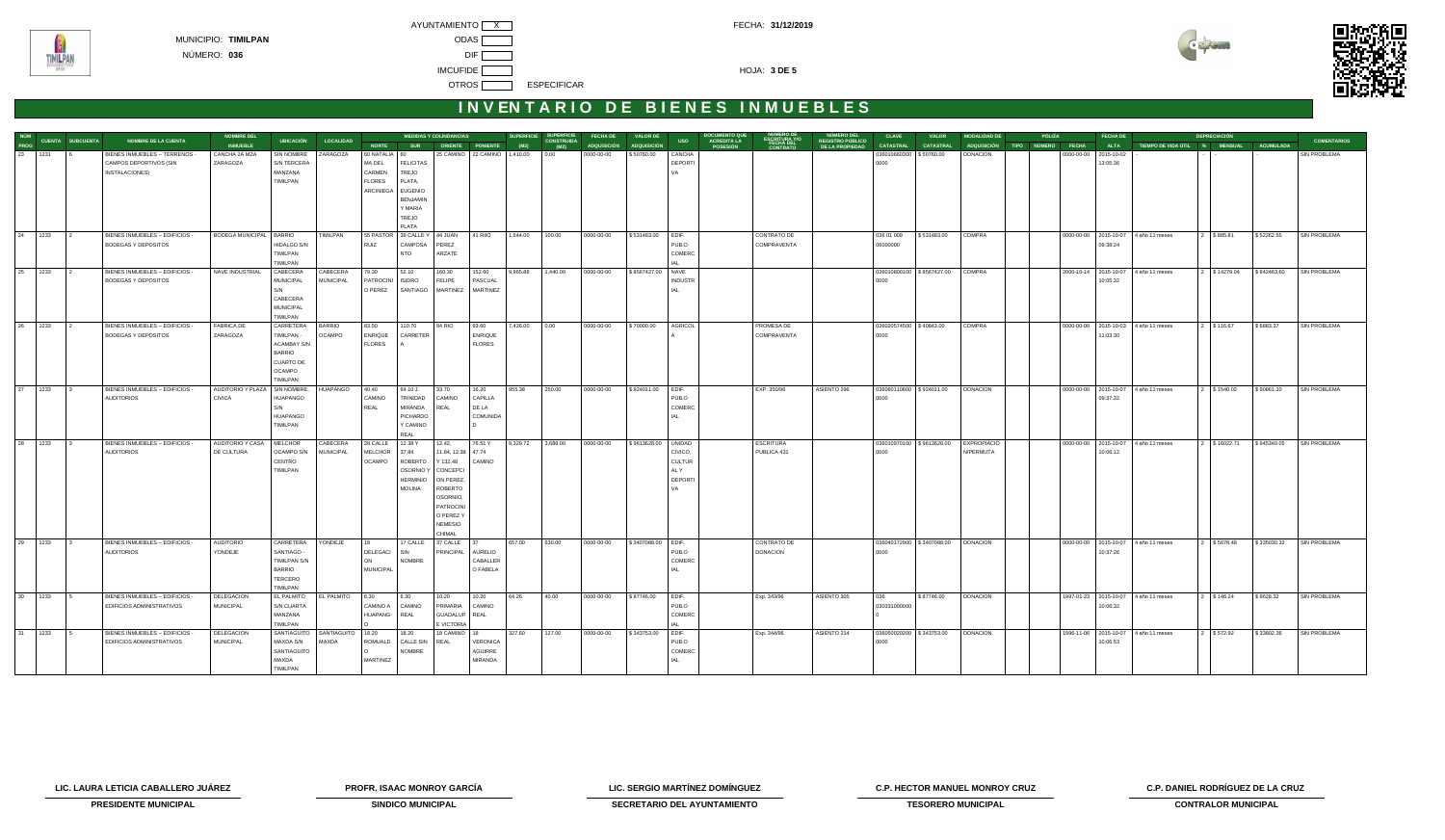



# **INVENTARIO DE BIENES INMUEBLES**

|         |                                           | NOMBRE DE LA CUENTA                                           | <b>NOMBRE DEL</b>             | <b>UBICACIÓN</b>             | <b>LOCALIDAD</b>             |                           |                              | <b>MEDIDAS Y COLINDANCIAS</b> |                              | <b>SUPERFICIE</b> | SUPERFICIE<br>CONSTRUIDA | <b>FECHA DE</b>    | <b>VALOR DE</b>     | <b>USO</b>                 | <b>DOCUMENTO QUE</b><br>ACREDITA LA<br>ESCRITURA Y/O | NÚMERO DEL<br>REGISTRO PÚBLICO | <b>CLAVE</b>                    | <b>VALOR</b>                       | <b>MODALIDAD DE</b>                   | <b>PÓLIZA</b>                 |            | <b>FECHA DE</b>        |                                         | <b>DEPRECIACIÓN</b> |             | <b>COMENTARIOS</b>  |
|---------|-------------------------------------------|---------------------------------------------------------------|-------------------------------|------------------------------|------------------------------|---------------------------|------------------------------|-------------------------------|------------------------------|-------------------|--------------------------|--------------------|---------------------|----------------------------|------------------------------------------------------|--------------------------------|---------------------------------|------------------------------------|---------------------------------------|-------------------------------|------------|------------------------|-----------------------------------------|---------------------|-------------|---------------------|
|         | NÚM<br>PROG CUENTA SUBCUENTA<br>23 1231 6 |                                                               | <b>INMUEBLE</b>               |                              |                              | <b>NORTE</b>              | <b>SUR</b>                   |                               | ORIENTE PONIENTE             | (M2)              | (M2)                     | <b>ADQUISICIÓN</b> | <b>ADQUISICIÓN</b>  |                            | FECHA DE<br>POSESIÓN                                 | DE LA PROPIEDAD                | CATASTRAL                       | <b>CATASTRAL</b>                   |                                       | ADQUISICIÓN TIPO NÚMERO FECHA |            | <b>ALTA</b>            | TIEMPO DE VIDA ÚTIL % MENSUAL ACUMULADA |                     |             |                     |
|         |                                           | BIENES INMUEBLES -- TERRENOS -<br>CAMPOS DEPORTIVOS (SIN      | CANCHA 2A MZA<br>ZARAGOZA     | SIN NOMBRE<br>S/N TERCERA    | ZARAGOZA                     | 60 NATALIA 60<br>MA DEL   | <b>FELICITAS</b>             |                               | 25 CAMINO 22 CAMINO 1,410.00 |                   | 0.00                     | 0000-00-00         | \$50760.00          | CANCHA<br>DEPORTI          |                                                      |                                | 036010660300 \$50760.00<br>0000 |                                    | <b>DONACION</b>                       |                               | 0000-00-00 | 2015-10-02<br>13:05:36 |                                         |                     |             | SIN PROBLEMA        |
|         |                                           | INSTALACIONES)                                                |                               | MANZANA                      |                              | CARMEN                    | TREJO                        |                               |                              |                   |                          |                    |                     | VA                         |                                                      |                                |                                 |                                    |                                       |                               |            |                        |                                         |                     |             |                     |
|         |                                           |                                                               |                               | TIMILPAN                     |                              | <b>FLORES</b>             | PLATA,                       |                               |                              |                   |                          |                    |                     |                            |                                                      |                                |                                 |                                    |                                       |                               |            |                        |                                         |                     |             |                     |
|         |                                           |                                                               |                               |                              |                              |                           | ARCINIEGA EUGENIO            |                               |                              |                   |                          |                    |                     |                            |                                                      |                                |                                 |                                    |                                       |                               |            |                        |                                         |                     |             |                     |
|         |                                           |                                                               |                               |                              |                              |                           | <b>BENJAMIN</b>              |                               |                              |                   |                          |                    |                     |                            |                                                      |                                |                                 |                                    |                                       |                               |            |                        |                                         |                     |             |                     |
|         |                                           |                                                               |                               |                              |                              |                           | Y MARIA                      |                               |                              |                   |                          |                    |                     |                            |                                                      |                                |                                 |                                    |                                       |                               |            |                        |                                         |                     |             |                     |
|         |                                           |                                                               |                               |                              |                              |                           | TREJO<br>PLATA               |                               |                              |                   |                          |                    |                     |                            |                                                      |                                |                                 |                                    |                                       |                               |            |                        |                                         |                     |             |                     |
| 24 1233 |                                           | BIENES INMUEBLES -- EDIFICIOS -                               | BODEGA MUNICIPAL   BARRIO     |                              | TIMILPAN                     |                           | 55 PASTOR 39 CALLE Y 44 JUAN |                               | 41 RIIO                      | 1,644.00          | 100.00                   | 0000-00-00         | \$531483.00         | EDIF.                      | <b>CONTRATO DE</b>                                   |                                | 036 01 009                      | \$531483.00                        | COMPRA                                |                               |            |                        | 0000-00-00 2015-10-07 4 año 11 meses    | 2 \$885.81          | \$52262.55  | <b>SIN PROBLEMA</b> |
|         |                                           | BODEGAS Y DEPOSITOS                                           |                               | HIDALGO S/N                  |                              | RUIZ                      | CAMPOSA                      | PEREZ                         |                              |                   |                          |                    |                     | PUB.O                      | COMPRAVENTA                                          |                                | 06000000                        |                                    |                                       |                               |            | 09:38:24               |                                         |                     |             |                     |
|         |                                           |                                                               |                               | TIMILPAN                     |                              |                           | <b>NTO</b>                   | ARZATE                        |                              |                   |                          |                    |                     | COMERC                     |                                                      |                                |                                 |                                    |                                       |                               |            |                        |                                         |                     |             |                     |
|         |                                           |                                                               |                               | TIMILPAN                     |                              |                           |                              |                               |                              |                   |                          |                    |                     |                            |                                                      |                                |                                 |                                    |                                       |                               |            |                        |                                         |                     |             |                     |
| 25 1233 |                                           | BIENES INMUEBLES -- EDIFICIOS -<br><b>BODEGAS Y DEPOSITOS</b> | NAVE INDUSTRIAL               | CABECERA<br><b>MUNICIPAL</b> | CABECERA<br><b>MUNICIPAL</b> | 79.30<br>PATROCINI ISIDRO | 52.10                        | 160.30<br><b>FELIPE</b>       | 152.60<br>PASCUAL            | 9,965.86          | 1,440.00                 | 0000-00-00         | \$8567427.00        | NAVE<br><b>INDUSTR</b>     |                                                      |                                | 0000                            | 036010800100   \$8567427.00 COMPRA |                                       |                               |            | 10:05:32               | 2000-10-14 2015-10-07 4 año 11 meses    | 2 \$14279.04        | \$842463.60 | <b>SIN PROBLEMA</b> |
|         |                                           |                                                               |                               | S/N                          |                              | O PEREZ                   | SANTIAGO MARTINEZ            |                               | MARTINEZ                     |                   |                          |                    |                     |                            |                                                      |                                |                                 |                                    |                                       |                               |            |                        |                                         |                     |             |                     |
|         |                                           |                                                               |                               | CABECERA                     |                              |                           |                              |                               |                              |                   |                          |                    |                     |                            |                                                      |                                |                                 |                                    |                                       |                               |            |                        |                                         |                     |             |                     |
|         |                                           |                                                               |                               | <b>MUNICIPAL</b>             |                              |                           |                              |                               |                              |                   |                          |                    |                     |                            |                                                      |                                |                                 |                                    |                                       |                               |            |                        |                                         |                     |             |                     |
|         |                                           |                                                               |                               | TIMILPAN                     |                              |                           |                              |                               |                              |                   |                          |                    |                     |                            |                                                      |                                |                                 |                                    |                                       |                               |            |                        |                                         |                     |             |                     |
| 26 1233 |                                           | BIENES INMUEBLES -- EDIFICIOS -<br><b>BODEGAS Y DEPOSITOS</b> | <b>FABRICA DE</b><br>ZARAGOZA | CARRETERA<br>TIMILPAN -      | <b>BARRIO</b><br>OCAMPO      | 83.50<br>ENRIQUE          | 110.70<br>CARRETER           | 94 RIO                        | 93.60<br>ENRIQUE             | 7,426.00          | 0.00                     | 0000-00-00         | \$70000.00          | AGRICOL                    | PROMESA DE<br>COMPRAVENTA                            |                                | 036020574500 \$40843.00<br>0000 |                                    | <b>COMPRA</b>                         |                               |            | 11:03:30               | 0000-00-00 2015-10-03 4 año 11 meses    | 2 \$116.67          | \$6883.37   | SIN PROBLEMA        |
|         |                                           |                                                               |                               | ACAMBAY S/N                  |                              | <b>FLORES</b>             |                              |                               | <b>FLORES</b>                |                   |                          |                    |                     |                            |                                                      |                                |                                 |                                    |                                       |                               |            |                        |                                         |                     |             |                     |
|         |                                           |                                                               |                               | <b>BARRIO</b>                |                              |                           |                              |                               |                              |                   |                          |                    |                     |                            |                                                      |                                |                                 |                                    |                                       |                               |            |                        |                                         |                     |             |                     |
|         |                                           |                                                               |                               | <b>CUARTO DE</b>             |                              |                           |                              |                               |                              |                   |                          |                    |                     |                            |                                                      |                                |                                 |                                    |                                       |                               |            |                        |                                         |                     |             |                     |
|         |                                           |                                                               |                               | OCAMPO                       |                              |                           |                              |                               |                              |                   |                          |                    |                     |                            |                                                      |                                |                                 |                                    |                                       |                               |            |                        |                                         |                     |             |                     |
| 27 1233 |                                           | BIENES INMUEBLES -- EDIFICIOS -                               | AUDITORIO Y PLAZA SIN NOMBRE, | TIMILPAN                     | HUAPANGO                     | 40.40                     | 64.10 J.                     | 33.70                         | 16.20                        | 955.38            | 250.00                   | 0000-00-00         | \$924011.00         | EDIF.                      | EXP. 350/96                                          | ASIENTO 296                    | 036060110600 \$924011.00        |                                    | <b>DONACION</b>                       |                               |            |                        | 0000-00-00 2015-10-07 4 año 11 meses    | 2 \$1540.02         | \$90861.10  | <b>SIN PROBLEMA</b> |
|         |                                           | <b>AUDITORIOS</b>                                             | <b>CIVICA</b>                 | HUAPANGO                     |                              | CAMINO                    | TRINIDAD                     | CAMINO                        | CAPILLA                      |                   |                          |                    |                     | PUB.O                      |                                                      |                                | 0000                            |                                    |                                       |                               |            | 09:37:32               |                                         |                     |             |                     |
|         |                                           |                                                               |                               | S/N                          |                              | REAL                      | MIRANDA                      | REAL                          | DE LA                        |                   |                          |                    |                     | COMERC                     |                                                      |                                |                                 |                                    |                                       |                               |            |                        |                                         |                     |             |                     |
|         |                                           |                                                               |                               | HUAPANGO                     |                              |                           | PICHARDO                     |                               | COMUNIDA                     |                   |                          |                    |                     |                            |                                                      |                                |                                 |                                    |                                       |                               |            |                        |                                         |                     |             |                     |
|         |                                           |                                                               |                               | TIMILPAN                     |                              |                           | Y CAMINO<br>REAL             |                               |                              |                   |                          |                    |                     |                            |                                                      |                                |                                 |                                    |                                       |                               |            |                        |                                         |                     |             |                     |
| 28 1233 |                                           | BIENES INMUEBLES -- EDIFICIOS -                               | AUDITORIO Y CASA              | MELCHOR                      | CABECERA                     | 28 CALLE 12.38 Y          |                              | 12.42,                        | 76.51 Y                      | 9,329.72          | 3,688.00                 | 0000-00-00         | \$9613628.00 UNIDAD |                            | <b>ESCRITURA</b>                                     |                                |                                 |                                    | 036010970100 \$9613628.00 EXPROPIACIÓ |                               |            |                        | 0000-00-00 2015-10-07 4 año 11 meses    | 2 \$16022.71        | \$945340.05 | <b>SIN PROBLEMA</b> |
|         |                                           | <b>AUDITORIOS</b>                                             | DE CULTURA                    | OCAMPO S/N                   | <b>MUNICIPAL</b>             | <b>MELCHOR</b>            | 37.84                        | 11.84, 12.38 47.74            |                              |                   |                          |                    |                     | CIVICO,                    | PUBLICA 431                                          |                                | 0000                            |                                    | N/PERMUTA                             |                               |            | 10:06:12               |                                         |                     |             |                     |
|         |                                           |                                                               |                               | CENTRO                       |                              | <b>OCAMPO</b>             | ROBERTO                      | Y 132.48                      | CAMINO                       |                   |                          |                    |                     | <b>CULTUR</b>              |                                                      |                                |                                 |                                    |                                       |                               |            |                        |                                         |                     |             |                     |
|         |                                           |                                                               |                               | TIMILPAN                     |                              |                           | OSORNIO Y                    | CONCEPCI                      |                              |                   |                          |                    |                     | AL Y                       |                                                      |                                |                                 |                                    |                                       |                               |            |                        |                                         |                     |             |                     |
|         |                                           |                                                               |                               |                              |                              |                           | HERMINIO<br><b>MOLINA</b>    | ON PEREZ,<br>ROBERTO          |                              |                   |                          |                    |                     | <b>DEPORT</b><br><b>VA</b> |                                                      |                                |                                 |                                    |                                       |                               |            |                        |                                         |                     |             |                     |
|         |                                           |                                                               |                               |                              |                              |                           |                              | OSORNIO,                      |                              |                   |                          |                    |                     |                            |                                                      |                                |                                 |                                    |                                       |                               |            |                        |                                         |                     |             |                     |
|         |                                           |                                                               |                               |                              |                              |                           |                              | <b>PATROCINI</b>              |                              |                   |                          |                    |                     |                            |                                                      |                                |                                 |                                    |                                       |                               |            |                        |                                         |                     |             |                     |
|         |                                           |                                                               |                               |                              |                              |                           |                              | O PEREZ Y                     |                              |                   |                          |                    |                     |                            |                                                      |                                |                                 |                                    |                                       |                               |            |                        |                                         |                     |             |                     |
|         |                                           |                                                               |                               |                              |                              |                           |                              | <b>NEMESIO</b>                |                              |                   |                          |                    |                     |                            |                                                      |                                |                                 |                                    |                                       |                               |            |                        |                                         |                     |             |                     |
| 29 1233 |                                           | BIENES INMUEBLES -- EDIFICIOS -                               | <b>AUDITORIO</b>              | CARRETERA                    | YONDEJE                      | l 18                      | 17 CALLE                     | CHIMAL<br>37 CALLE 37         |                              | 657.00            | 630.00                   | 0000-00-00         | \$3407088.00 EDIF.  |                            | CONTRATO DE                                          |                                |                                 | 036040172900 \$3407088.00          | <b>DONACION</b>                       |                               |            |                        | 0000-00-00 2015-10-07 4 año 11 meses    | 2 \$5678.48         | \$335030.32 | <b>SIN PROBLEMA</b> |
|         |                                           | <b>AUDITORIOS</b>                                             | YONDEJE                       | SANTIAGO -                   |                              | <b>DELEGACI</b>           | SIN                          | PRINCIPAL AURELIO             |                              |                   |                          |                    |                     | PUB.O                      | <b>DONACION</b>                                      |                                | 0000                            |                                    |                                       |                               |            | 10:37:26               |                                         |                     |             |                     |
|         |                                           |                                                               |                               | <b>TIMILPAN S/N</b>          |                              | ON                        | <b>NOMBRE</b>                |                               | CABALLER                     |                   |                          |                    |                     | COMERC                     |                                                      |                                |                                 |                                    |                                       |                               |            |                        |                                         |                     |             |                     |
|         |                                           |                                                               |                               | <b>BARRIO</b>                |                              | <b>MUNICIPAL</b>          |                              |                               | O FABELA                     |                   |                          |                    |                     |                            |                                                      |                                |                                 |                                    |                                       |                               |            |                        |                                         |                     |             |                     |
|         |                                           |                                                               |                               | TERCERO                      |                              |                           |                              |                               |                              |                   |                          |                    |                     |                            |                                                      |                                |                                 |                                    |                                       |                               |            |                        |                                         |                     |             |                     |
| 30 1233 |                                           | BIENES INMUEBLES -- EDIFICIOS -                               | <b>DELEGACION</b>             | TIMILPAN<br>EL PALMITO       | EL PALMITO 6.30              |                           | 6.30                         | 10.20                         | 10.20                        | 64.26             | 40.00                    | 0000-00-00         | \$87746.00          | EDIF.                      | Exp. 343/96                                          | ASIENTO 305                    | 036                             | \$87746.00                         | <b>DONACION</b>                       |                               |            |                        | 1997-01-23 2015-10-07 4 año 11 meses    | 2 \$146.24          | \$8628.32   | <b>SIN PROBLEMA</b> |
|         |                                           | EDIFICIOS ADMINISTRATIVOS                                     | <b>MUNICIPAL</b>              | S/N CUARTA                   |                              | <b>CAMINO A</b>           | CAMINO                       | PRIMARIA                      | CAMINO                       |                   |                          |                    |                     | PUB.O                      |                                                      |                                | 030331000000                    |                                    |                                       |                               |            | 10:06:32               |                                         |                     |             |                     |
|         |                                           |                                                               |                               | MANZANA                      |                              | HUAPANG                   | REAL                         | GUADALUP   REAL               |                              |                   |                          |                    |                     | COMERC                     |                                                      |                                |                                 |                                    |                                       |                               |            |                        |                                         |                     |             |                     |
|         |                                           |                                                               |                               | TIMILPAN                     |                              |                           |                              | E VICTORIA                    |                              |                   |                          |                    |                     |                            |                                                      |                                |                                 |                                    |                                       |                               |            |                        |                                         |                     |             |                     |
| 31 1233 |                                           | BIENES INMUEBLES -- EDIFICIOS -                               | DELEGACION                    | SANTIAGUITO                  | SANTIAGUITO 18.20            |                           | 18.20                        | 18 CAMINO                     |                              | 327.60            | 127.00                   | 0000-00-00         | \$343753.00         | EDIF.                      | Exp. 344/96                                          | ASIENTO 214                    | 036050020200 \$343753.00        |                                    | <b>DONACION</b>                       |                               |            |                        | 1996-11-06 2015-10-07 4 año 11 meses    | 2 \$572.92          | \$33802.36  | SIN PROBLEMA        |
|         |                                           | EDIFICIOS ADMINISTRATIVOS                                     | <b>MUNICIPAL</b>              | MAXDA S/N<br>SANTIAGUITO     | MAXDA                        | ROMUALD                   | CALLE SIN<br>NOMBRE          | REAL                          | VERONICA<br>AGUIRRE          |                   |                          |                    |                     | PUB.O<br>COMERC            |                                                      |                                | 0000                            |                                    |                                       |                               |            | 10:06:53               |                                         |                     |             |                     |
|         |                                           |                                                               |                               | MAXDA                        |                              | MARTINEZ                  |                              |                               | <b>MIRANDA</b>               |                   |                          |                    |                     |                            |                                                      |                                |                                 |                                    |                                       |                               |            |                        |                                         |                     |             |                     |
|         |                                           |                                                               |                               | TIMILPAN                     |                              |                           |                              |                               |                              |                   |                          |                    |                     |                            |                                                      |                                |                                 |                                    |                                       |                               |            |                        |                                         |                     |             |                     |

**LIC. LAURA LETICIA CABALLERO JUÁREZ PROFR. ISAAC MONROY GARCÍA LIC. SERGIO MARTÍNEZ DOMÍNGUEZ C.P. HECTOR MANUEL MONROY CRUZ C.P. DANIEL RODRÍGUEZ DE LA CRUZ** 



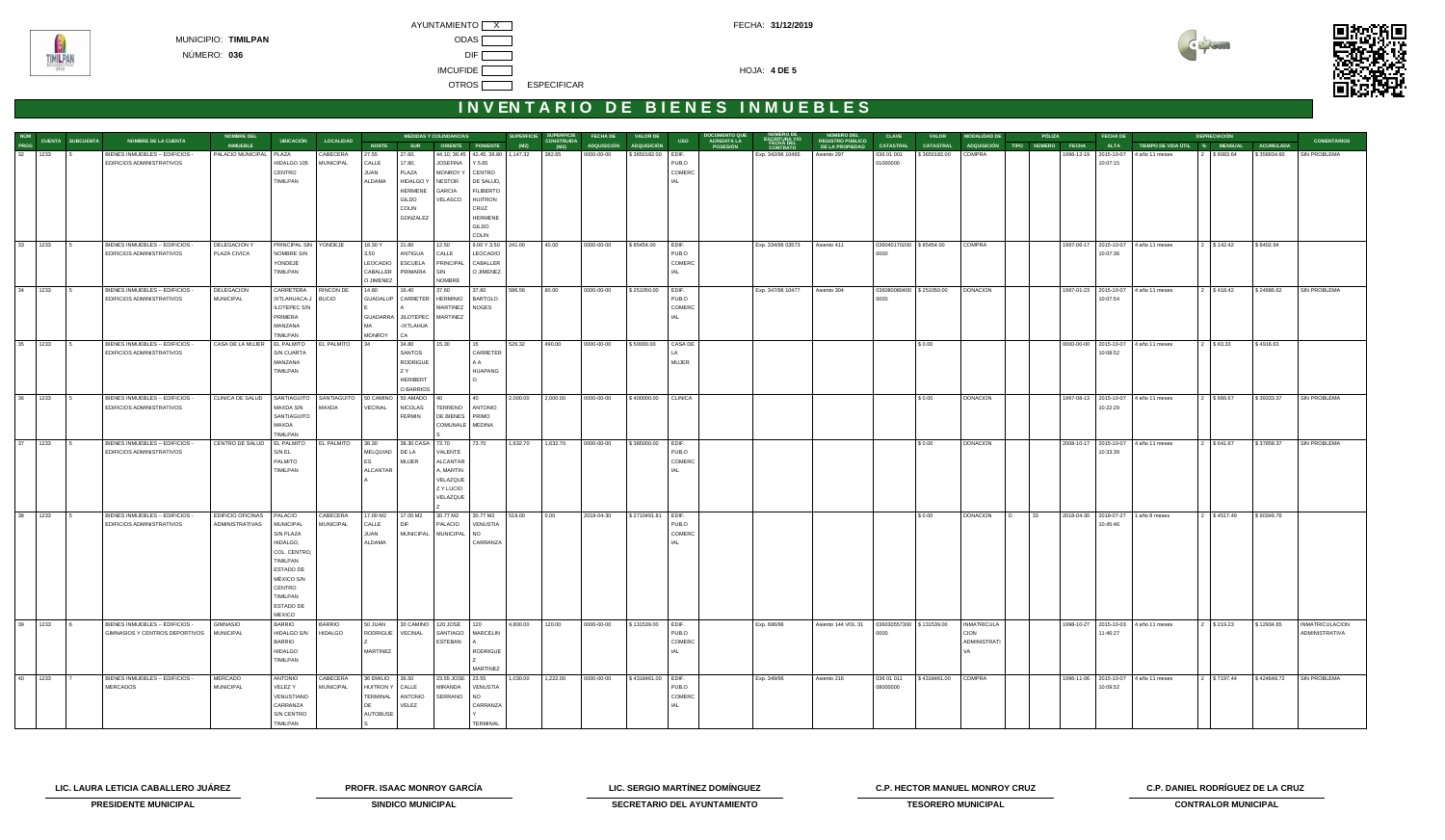



# **INVENTARIO DE BIENES INMUEBLES**

|         |           |                              | <b>MEDIDAS Y COLINDANCIAS</b><br><b>NOMBRE DEL</b><br><b>NOMBRE DE LA CUENTA</b><br><b>LOCALIDAD</b> |                              |                              |                                   |                 |                                             | <b>SUPERFICIE<br/>CONSTRUIDA</b><br><b>SUPERFICIE</b><br><b>FECHA DE</b><br><b>VALOR DE</b> |                                    |          |          |            | <b>DOCUMENTO QUE<br/>ACREDITA LA</b><br>NUMERO DE<br>ESCRITURA Y/O<br><b>CLAVE</b><br><b>MODALIDAD DE</b><br>PÓLIZA<br><b>FECHA DE</b><br><b>VALOR</b> |                |          |                               |                                                   |                          | <b>DEPRECIACIÓN</b>        |                               |           |  |             |                                      |             |                  |                        |
|---------|-----------|------------------------------|------------------------------------------------------------------------------------------------------|------------------------------|------------------------------|-----------------------------------|-----------------|---------------------------------------------|---------------------------------------------------------------------------------------------|------------------------------------|----------|----------|------------|--------------------------------------------------------------------------------------------------------------------------------------------------------|----------------|----------|-------------------------------|---------------------------------------------------|--------------------------|----------------------------|-------------------------------|-----------|--|-------------|--------------------------------------|-------------|------------------|------------------------|
|         |           | NÚM<br>PROG CUENTA SUBCUENTA |                                                                                                      | <b>INMUEBLE</b>              | <b>UBICACIÓN</b>             |                                   | <b>NORTE</b>    | <b>SUR</b>                                  |                                                                                             | ORIENTE PONIENTE                   | (M2)     | (M2)     |            | ADQUISICIÓN ADQUISICIÓN                                                                                                                                | <b>USO</b>     | POSESIÓN | <b>FECHA DEL<br/>CONTRATO</b> | NÚMERO DEL<br>REGISTRO PÚBLICO<br>DE LA PROPIEDAD | <b>CATASTRAL</b>         | <b>CATASTRAL</b>           | ADQUISICIÓN TIPO NÚMERO FECHA |           |  | <b>ALTA</b> | TIEMPO DE VIDA ÚTIL % MENSUAL        |             | <b>ACUMULADA</b> | <b>COMENTARIOS</b>     |
| 32 1233 |           |                              | BIENES INMUEBLES -- EDIFICIOS -                                                                      | PALACIO MUNICIPAL   PLAZA    |                              | CABECERA                          | 27.55           | 27.60,                                      |                                                                                             | 44.10, 36.45 42.45, 36.80 1,147.32 |          | 382.65   | 0000-00-00 | \$3650182.00 EDIF.                                                                                                                                     |                |          | Exp. 342/96 10465             | Asiento 297                                       | 036 01 001               | \$3650182.00               | COMPRA                        |           |  |             | 1996-12-19 2015-10-07 4 año 11 meses | 2 \$6083.64 | \$358934.60      | SIN PROBLEMA           |
|         |           |                              | EDIFICIOS ADMINISTRATIVOS                                                                            |                              | HIDALGO 105                  | <b>MUNICIPAL</b>                  | CALLE           | 17.80,                                      | <b>JOSEFINA</b>                                                                             | Y 5.65                             |          |          |            |                                                                                                                                                        | PUB.O          |          |                               |                                                   | 01000000                 |                            |                               |           |  | 10:07:15    |                                      |             |                  |                        |
|         |           |                              |                                                                                                      |                              | CENTRO                       |                                   | JUAN            | PLAZA                                       | <b>MONROY Y</b>                                                                             | CENTRO                             |          |          |            |                                                                                                                                                        | COMERC         |          |                               |                                                   |                          |                            |                               |           |  |             |                                      |             |                  |                        |
|         |           |                              |                                                                                                      |                              | TIMILPAN                     |                                   | ALDAMA          | <b>HIDALGO Y</b>                            | <b>NESTOR</b>                                                                               | DE SALUD,                          |          |          |            |                                                                                                                                                        | IAL            |          |                               |                                                   |                          |                            |                               |           |  |             |                                      |             |                  |                        |
|         |           |                              |                                                                                                      |                              |                              |                                   |                 | <b>HERMENE</b>                              | GARCIA                                                                                      | <b>FILIBERTO</b>                   |          |          |            |                                                                                                                                                        |                |          |                               |                                                   |                          |                            |                               |           |  |             |                                      |             |                  |                        |
|         |           |                              |                                                                                                      |                              |                              |                                   |                 | GILDO                                       | VELASCO                                                                                     | <b>HUITRON</b>                     |          |          |            |                                                                                                                                                        |                |          |                               |                                                   |                          |                            |                               |           |  |             |                                      |             |                  |                        |
|         |           |                              |                                                                                                      |                              |                              |                                   |                 | COLIN                                       |                                                                                             | CRUZ                               |          |          |            |                                                                                                                                                        |                |          |                               |                                                   |                          |                            |                               |           |  |             |                                      |             |                  |                        |
|         |           |                              |                                                                                                      |                              |                              |                                   |                 | GONZALEZ                                    |                                                                                             | <b>HERMENE</b>                     |          |          |            |                                                                                                                                                        |                |          |                               |                                                   |                          |                            |                               |           |  |             |                                      |             |                  |                        |
|         |           |                              |                                                                                                      |                              |                              |                                   |                 |                                             |                                                                                             | GILDO                              |          |          |            |                                                                                                                                                        |                |          |                               |                                                   |                          |                            |                               |           |  |             |                                      |             |                  |                        |
|         |           |                              |                                                                                                      |                              |                              |                                   |                 |                                             |                                                                                             | COLIN                              |          |          |            |                                                                                                                                                        |                |          |                               |                                                   |                          |                            |                               |           |  |             |                                      |             |                  |                        |
| 33 1233 |           |                              | BIENES INMUEBLES -- EDIFICIOS -                                                                      | DELEGACION Y                 | PRINCIPAL SIN                | YONDEJE                           | 18.30 Y         | 21.80                                       | 12.50                                                                                       | 9.00 Y 3.50 241.00                 |          | 40.00    | 0000-00-00 | \$85454.00                                                                                                                                             | EDIF.          |          | Exp. 334/96 03573             | Asiento 411                                       | 036040170200 \$85454.00  |                            | COMPRA                        |           |  |             | 1997-06-17 2015-10-07 4 año 11 meses | 2 \$142.42  | \$8402.94        |                        |
|         |           |                              | EDIFICIOS ADMINISTRATIVOS                                                                            | PLAZA CIVICA                 | NOMBRE S/N                   |                                   | 3.50            | ANTIGUA                                     | CALLE                                                                                       | LEOCADIO                           |          |          |            |                                                                                                                                                        | PUB.O          |          |                               |                                                   | 0000                     |                            |                               |           |  | 10:07:36    |                                      |             |                  |                        |
|         |           |                              |                                                                                                      |                              | YONDEJE                      |                                   | LEOCADIO        | ESCUELA                                     | PRINCIPAL                                                                                   | CABALLER                           |          |          |            |                                                                                                                                                        | COMERC         |          |                               |                                                   |                          |                            |                               |           |  |             |                                      |             |                  |                        |
|         |           |                              |                                                                                                      |                              | TIMILPAN                     |                                   | CABALLER        | PRIMARIA                                    | SIN                                                                                         | O JIMENEZ                          |          |          |            |                                                                                                                                                        | IAL            |          |                               |                                                   |                          |                            |                               |           |  |             |                                      |             |                  |                        |
|         | 34 1233 5 |                              |                                                                                                      |                              |                              |                                   | O JIMENEZ       |                                             | <b>NOMBRE</b>                                                                               |                                    |          |          |            |                                                                                                                                                        |                |          |                               |                                                   |                          |                            |                               |           |  |             |                                      |             |                  |                        |
|         |           |                              | BIENES INMUEBLES -- EDIFICIOS -<br>EDIFICIOS ADMINISTRATIVOS                                         | <b>DELEGACION</b>            | CARRETERA                    | RINCON DE                         | 14.80           | 16.40<br>GUADALUP CARRETER HERMINIO BARTOLO | 37.60                                                                                       | 37.60                              | 586.56   | 80.00    | 0000-00-00 | $\frac{1}{2}$ \$251050.00 EDIF.                                                                                                                        | PUB.O          |          | Exp. 347/96 10477             | Asiento 304                                       |                          | 036080080400   \$251050.00 | <b>DONACION</b>               |           |  | 10:07:54    | 1997-01-23 2015-10-07 4 año 11 meses | 2 \$418.42  | \$24686.62       | SIN PROBLEMA           |
|         |           |                              |                                                                                                      | <b>MUNICIPAL</b>             | IXTLAHUACA-J<br>ILOTEPEC S/N | <b>BUCIO</b>                      |                 |                                             | MARTINEZ   NOGES                                                                            |                                    |          |          |            |                                                                                                                                                        | COMERC         |          |                               |                                                   | 0000                     |                            |                               |           |  |             |                                      |             |                  |                        |
|         |           |                              |                                                                                                      |                              | PRIMERA                      |                                   | <b>GUADARRA</b> | JILOTEPEC MARTINEZ                          |                                                                                             |                                    |          |          |            |                                                                                                                                                        | IAL            |          |                               |                                                   |                          |                            |                               |           |  |             |                                      |             |                  |                        |
|         |           |                              |                                                                                                      |                              | MANZANA                      |                                   | МΔ              | -IXTLAHUA                                   |                                                                                             |                                    |          |          |            |                                                                                                                                                        |                |          |                               |                                                   |                          |                            |                               |           |  |             |                                      |             |                  |                        |
|         |           |                              |                                                                                                      |                              | TIMILPAN                     |                                   | <b>MONROY</b>   | CA                                          |                                                                                             |                                    |          |          |            |                                                                                                                                                        |                |          |                               |                                                   |                          |                            |                               |           |  |             |                                      |             |                  |                        |
| 35 1233 |           | $\overline{5}$               | BIENES INMUEBLES -- EDIFICIOS -                                                                      | CASA DE LA MUJER             | EL PALMITO                   | EL PALMITO                        | 34              | 34.80                                       | 15.30                                                                                       | l 15                               | 526.32   | 490.00   | 0000-00-00 | \$50000.00                                                                                                                                             | CASA DE        |          |                               |                                                   |                          | \$0.00                     |                               |           |  |             | 0000-00-00 2015-10-07 4 año 11 meses | 2 \$83.33   | \$4916.63        |                        |
|         |           |                              | EDIFICIOS ADMINISTRATIVOS                                                                            |                              | <b>S/N CUARTA</b>            |                                   |                 | SANTOS                                      |                                                                                             | CARRETER                           |          |          |            |                                                                                                                                                        | LA             |          |                               |                                                   |                          |                            |                               |           |  | 10:08:52    |                                      |             |                  |                        |
|         |           |                              |                                                                                                      |                              | MANZANA                      |                                   |                 | <b>RODRIGUE</b>                             |                                                                                             | A A                                |          |          |            |                                                                                                                                                        | <b>MUJER</b>   |          |                               |                                                   |                          |                            |                               |           |  |             |                                      |             |                  |                        |
|         |           |                              |                                                                                                      |                              | TIMILPAN                     |                                   |                 | Z Y                                         |                                                                                             | HUAPANG                            |          |          |            |                                                                                                                                                        |                |          |                               |                                                   |                          |                            |                               |           |  |             |                                      |             |                  |                        |
|         |           |                              |                                                                                                      |                              |                              |                                   |                 | <b>HERIBERT</b>                             |                                                                                             | $\Omega$                           |          |          |            |                                                                                                                                                        |                |          |                               |                                                   |                          |                            |                               |           |  |             |                                      |             |                  |                        |
|         |           |                              |                                                                                                      |                              |                              |                                   |                 | O BARRIOS                                   |                                                                                             |                                    |          |          |            |                                                                                                                                                        |                |          |                               |                                                   |                          |                            |                               |           |  |             |                                      |             |                  |                        |
| 36 1233 |           |                              | BIENES INMUEBLES -- EDIFICIOS -                                                                      | CLINICA DE SALUD             | SANTIAGUITO                  | SANTIAGUITO 50 CAMINO 50 AMADO 40 |                 |                                             |                                                                                             | 40                                 | 2,000.00 | 2,000.00 | 0000-00-00 | \$400000.00                                                                                                                                            | <b>CLINICA</b> |          |                               |                                                   |                          | \$0.00                     | <b>DONACION</b>               |           |  |             | 1997-08-13 2015-10-07 4 año 11 meses | 2 \$666.67  | \$39333.37       | SIN PROBLEMA           |
|         |           |                              | EDIFICIOS ADMINISTRATIVOS                                                                            |                              | MAXDA S/N                    | MAXDA                             | VECINAL         | <b>NICOLAS</b>                              | TERRENO ANTONIO                                                                             |                                    |          |          |            |                                                                                                                                                        |                |          |                               |                                                   |                          |                            |                               |           |  | 10:22:29    |                                      |             |                  |                        |
|         |           |                              |                                                                                                      |                              | SANTIAGUITO                  |                                   |                 | <b>FERMIN</b>                               | DE BIENES PRIMO                                                                             |                                    |          |          |            |                                                                                                                                                        |                |          |                               |                                                   |                          |                            |                               |           |  |             |                                      |             |                  |                        |
|         |           |                              |                                                                                                      |                              | MAXDA                        |                                   |                 |                                             | COMUNALE   MEDINA                                                                           |                                    |          |          |            |                                                                                                                                                        |                |          |                               |                                                   |                          |                            |                               |           |  |             |                                      |             |                  |                        |
|         |           |                              |                                                                                                      |                              | TIMILPAN                     |                                   |                 |                                             |                                                                                             |                                    |          |          |            |                                                                                                                                                        |                |          |                               |                                                   |                          |                            |                               |           |  |             |                                      |             |                  |                        |
|         | 37 1233   |                              | BIENES INMUEBLES -- EDIFICIOS -                                                                      | CENTRO DE SALUD   EL PALMITO |                              | EL PALMITO 38.30                  |                 | 38.30 CASA 73.70                            |                                                                                             | 73.70                              | 1,632.70 | 1,632.70 | 0000-00-00 | \$385000.00 EDIF.                                                                                                                                      |                |          |                               |                                                   |                          | \$0.00                     | <b>DONACION</b>               |           |  |             | 2008-10-17 2015-10-07 4 año 11 meses | 2 \$641.67  | \$37858.37       | SIN PROBLEMA           |
|         |           |                              | EDIFICIOS ADMINISTRATIVOS                                                                            |                              | S/N EL                       |                                   | MELQUIAD DE LA  |                                             | VALENTE                                                                                     |                                    |          |          |            |                                                                                                                                                        | PUB.O          |          |                               |                                                   |                          |                            |                               |           |  | 10:33:39    |                                      |             |                  |                        |
|         |           |                              |                                                                                                      |                              | PALMITO                      |                                   | ES              | <b>MUJER</b>                                | ALCANTAR                                                                                    |                                    |          |          |            |                                                                                                                                                        | COMERC         |          |                               |                                                   |                          |                            |                               |           |  |             |                                      |             |                  |                        |
|         |           |                              |                                                                                                      |                              | TIMILPAN                     |                                   | <b>ALCANTAR</b> |                                             | A, MARTIN                                                                                   |                                    |          |          |            |                                                                                                                                                        | IAI            |          |                               |                                                   |                          |                            |                               |           |  |             |                                      |             |                  |                        |
|         |           |                              |                                                                                                      |                              |                              |                                   |                 |                                             | VELAZQUE                                                                                    |                                    |          |          |            |                                                                                                                                                        |                |          |                               |                                                   |                          |                            |                               |           |  |             |                                      |             |                  |                        |
|         |           |                              |                                                                                                      |                              |                              |                                   |                 |                                             | Z Y LUCIO                                                                                   |                                    |          |          |            |                                                                                                                                                        |                |          |                               |                                                   |                          |                            |                               |           |  |             |                                      |             |                  |                        |
|         |           |                              |                                                                                                      |                              |                              |                                   |                 |                                             | VELAZQUE                                                                                    |                                    |          |          |            |                                                                                                                                                        |                |          |                               |                                                   |                          |                            |                               |           |  |             |                                      |             |                  |                        |
| 38 1233 |           |                              | BIENES INMUEBLES -- EDIFICIOS -                                                                      | <b>EDIFICIO OFICINAS</b>     | PALACIO                      | CABECERA                          | 17.00 M2        | 17.00 M2                                    | 30.77 M2                                                                                    | 30.77 M2                           | 519.00   | 0.00     | 2018-04-30 | \$2710491.81 EDIF.                                                                                                                                     |                |          |                               |                                                   |                          | \$0.00                     | <b>DONACION</b>               | 33<br>ID. |  |             | 2018-04-30 2018-07-27 1 año 8 meses  | 2 \$4517.49 | \$90349.76       |                        |
|         |           |                              | EDIFICIOS ADMINISTRATIVOS                                                                            | ADMINISTRATIVAS              | <b>MUNICIPAL</b>             | MUNICIPAL                         | CALLE           | <b>DIF</b>                                  | PALACIO                                                                                     | VENUSTIA                           |          |          |            |                                                                                                                                                        | PUB.O          |          |                               |                                                   |                          |                            |                               |           |  | 10:45:46    |                                      |             |                  |                        |
|         |           |                              |                                                                                                      |                              | S/N PLAZA                    |                                   | <b>JUAN</b>     |                                             | MUNICIPAL   MUNICIPAL                                                                       | <b>NO</b>                          |          |          |            |                                                                                                                                                        | COMERC         |          |                               |                                                   |                          |                            |                               |           |  |             |                                      |             |                  |                        |
|         |           |                              |                                                                                                      |                              | HIDALGO,                     |                                   | ALDAMA          |                                             |                                                                                             | CARRANZA                           |          |          |            |                                                                                                                                                        | IAL.           |          |                               |                                                   |                          |                            |                               |           |  |             |                                      |             |                  |                        |
|         |           |                              |                                                                                                      |                              | COL. CENTRO,                 |                                   |                 |                                             |                                                                                             |                                    |          |          |            |                                                                                                                                                        |                |          |                               |                                                   |                          |                            |                               |           |  |             |                                      |             |                  |                        |
|         |           |                              |                                                                                                      |                              | TIMILPAN                     |                                   |                 |                                             |                                                                                             |                                    |          |          |            |                                                                                                                                                        |                |          |                               |                                                   |                          |                            |                               |           |  |             |                                      |             |                  |                        |
|         |           |                              |                                                                                                      |                              | ESTADO DE                    |                                   |                 |                                             |                                                                                             |                                    |          |          |            |                                                                                                                                                        |                |          |                               |                                                   |                          |                            |                               |           |  |             |                                      |             |                  |                        |
|         |           |                              |                                                                                                      |                              | MÉXICO S/N                   |                                   |                 |                                             |                                                                                             |                                    |          |          |            |                                                                                                                                                        |                |          |                               |                                                   |                          |                            |                               |           |  |             |                                      |             |                  |                        |
|         |           |                              |                                                                                                      |                              | CENTRO                       |                                   |                 |                                             |                                                                                             |                                    |          |          |            |                                                                                                                                                        |                |          |                               |                                                   |                          |                            |                               |           |  |             |                                      |             |                  |                        |
|         |           |                              |                                                                                                      |                              | TIMILPAN                     |                                   |                 |                                             |                                                                                             |                                    |          |          |            |                                                                                                                                                        |                |          |                               |                                                   |                          |                            |                               |           |  |             |                                      |             |                  |                        |
|         |           |                              |                                                                                                      |                              | ESTADO DE                    |                                   |                 |                                             |                                                                                             |                                    |          |          |            |                                                                                                                                                        |                |          |                               |                                                   |                          |                            |                               |           |  |             |                                      |             |                  |                        |
|         |           |                              |                                                                                                      |                              | <b>MEXICO</b>                |                                   |                 |                                             |                                                                                             |                                    |          |          |            |                                                                                                                                                        |                |          |                               |                                                   |                          |                            |                               |           |  |             |                                      |             |                  |                        |
| 39 1233 |           | I 6                          | BIENES INMUEBLES -- EDIFICIOS -                                                                      | <b>GIMNASIO</b>              | <b>BARRIO</b>                | <b>BARRIO</b>                     | 50 JUAN         | 30 CAMINO                                   | 120 JOSE                                                                                    | 120                                | 4,800.00 | 120.00   | 0000-00-00 | \$131539.00                                                                                                                                            | EDIF.          |          | Exp. 686/96                   | Asiento 144 VOL 31                                | 036030557300 \$131539.00 |                            | <b>INMATRICULA</b>            |           |  |             | 1998-10-27 2015-10-03 4 año 11 meses | 2 \$219.23  | \$12934.65       | <b>INMATRICULACION</b> |
|         |           |                              | GIMNASIOS Y CENTROS DEPORTIVOS MUNICIPAL                                                             |                              | HIDALGO S/N                  | <b>HIDALGO</b>                    |                 | RODRIGUE VECINAL                            | SANTIAGO   MARCELIN                                                                         |                                    |          |          |            |                                                                                                                                                        | PUB.O          |          |                               |                                                   | 0000                     |                            | <b>CION</b>                   |           |  | 1:46:27     |                                      |             |                  | <b>ADMINISTRATIVA</b>  |
|         |           |                              |                                                                                                      |                              | <b>BARRIO</b>                |                                   |                 |                                             | ESTEBAN                                                                                     |                                    |          |          |            |                                                                                                                                                        | COMERC         |          |                               |                                                   |                          |                            | <b>ADMINISTRATI</b>           |           |  |             |                                      |             |                  |                        |
|         |           |                              |                                                                                                      |                              | <b>HIDALGO</b>               |                                   | MARTINEZ        |                                             |                                                                                             | <b>RODRIGUE</b>                    |          |          |            |                                                                                                                                                        | IAL            |          |                               |                                                   |                          |                            |                               |           |  |             |                                      |             |                  |                        |
|         |           |                              |                                                                                                      |                              | TIMILPAN                     |                                   |                 |                                             |                                                                                             |                                    |          |          |            |                                                                                                                                                        |                |          |                               |                                                   |                          |                            |                               |           |  |             |                                      |             |                  |                        |
|         |           |                              |                                                                                                      |                              |                              |                                   |                 |                                             |                                                                                             | MARTINEZ                           |          |          |            |                                                                                                                                                        |                |          |                               |                                                   |                          |                            |                               |           |  |             |                                      |             |                  |                        |
| 40 1233 |           |                              | BIENES INMUEBLES -- EDIFICIOS -                                                                      | MERCADO                      | ANTONIO                      | CABECERA                          | 36 EMILIO 36.50 |                                             | 23.55 JOSE 23.55                                                                            |                                    | 1,030.00 | 1,222.00 | 0000-00-00 | \$4318461.00 EDIF.                                                                                                                                     |                |          | Exp. 349/96                   | Asiento 216                                       | 036 01 011               | \$4318461.00               | <b>COMPRA</b>                 |           |  |             | 1996-11-06 2015-10-07 4 año 11 meses | 2 \$7197.44 | \$424648.72      | <b>SIN PROBLEMA</b>    |
|         |           |                              | <b>MERCADOS</b>                                                                                      | MUNICIPAL                    | VELEZ Y                      | <b>MUNICIPAL</b>                  | HUITRON Y CALLE |                                             | MIRANDA                                                                                     | VENUSTIA                           |          |          |            |                                                                                                                                                        | PUB.O          |          |                               |                                                   | 08000000                 |                            |                               |           |  | 10:09:52    |                                      |             |                  |                        |
|         |           |                              |                                                                                                      |                              | VENUSTIANO                   |                                   | TERMINAL        | <b>ANTONIO</b>                              | SERRANO                                                                                     | <b>NO</b>                          |          |          |            |                                                                                                                                                        | COMERC         |          |                               |                                                   |                          |                            |                               |           |  |             |                                      |             |                  |                        |
|         |           |                              |                                                                                                      |                              | CARRANZA<br>S/N CENTRO       |                                   | DE              | VELEZ                                       |                                                                                             | CARRANZA                           |          |          |            |                                                                                                                                                        | IAL            |          |                               |                                                   |                          |                            |                               |           |  |             |                                      |             |                  |                        |
|         |           |                              |                                                                                                      |                              | <b>TIMILPAN</b>              |                                   | AUTOBUSE        |                                             |                                                                                             | <b>ERMINAL</b>                     |          |          |            |                                                                                                                                                        |                |          |                               |                                                   |                          |                            |                               |           |  |             |                                      |             |                  |                        |
|         |           |                              |                                                                                                      |                              |                              |                                   |                 |                                             |                                                                                             |                                    |          |          |            |                                                                                                                                                        |                |          |                               |                                                   |                          |                            |                               |           |  |             |                                      |             |                  |                        |

**LIC. LAURA LETICIA CABALLERO JUÁREZ PROFR. ISAAC MONROY GARCÍA LIC. SERGIO MARTÍNEZ DOMÍNGUEZ C.P. HECTOR MANUEL MONROY CRUZ C.P. DANIEL RODRÍGUEZ DE LA CRUZ**